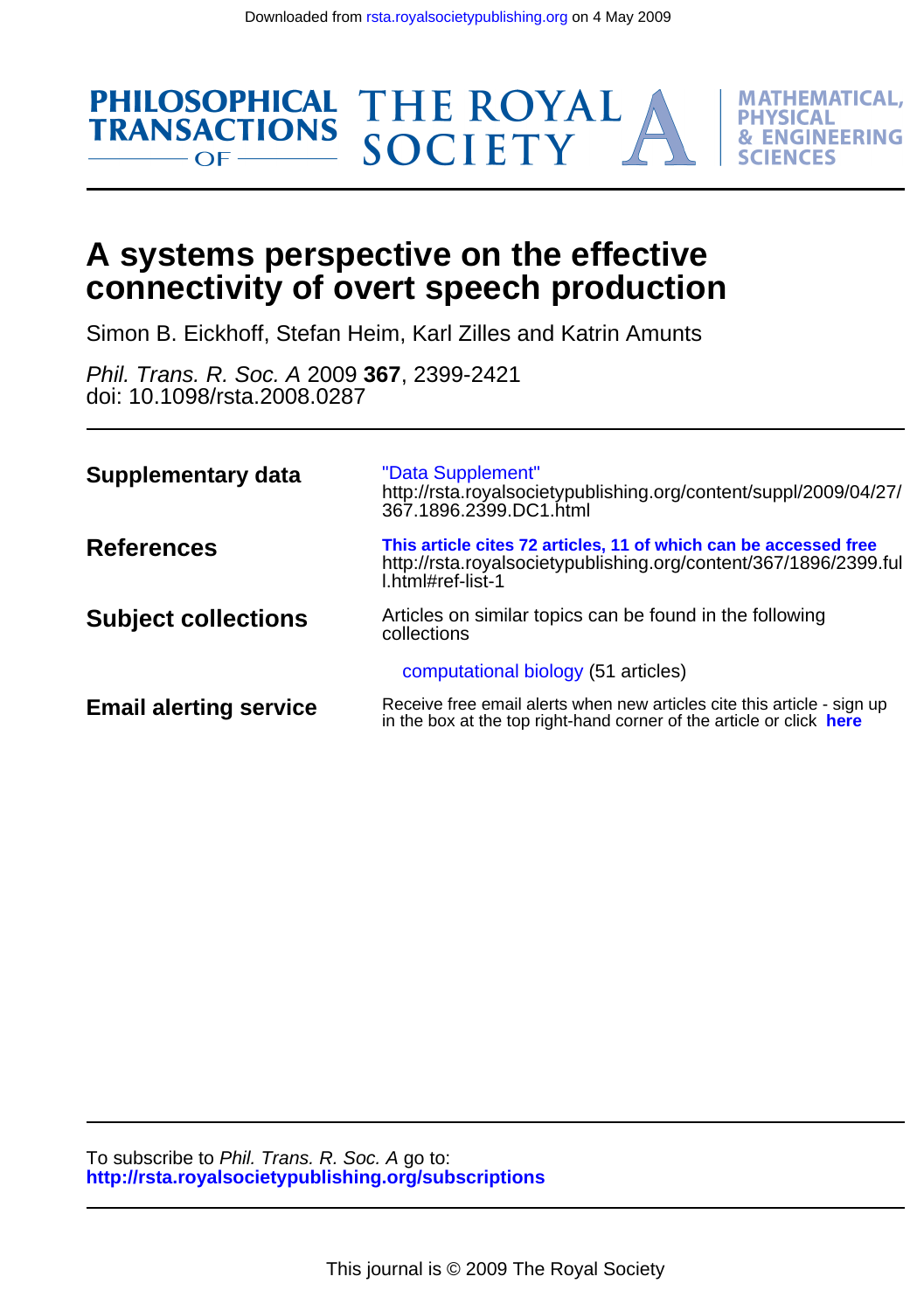

# **connectivity of overt speech production A systems perspective on the effective**

Simon B. Eickhoff, Stefan Heim, Karl Zilles and Katrin Amunts

doi: 10.1098/rsta.2008.0287 Phil. Trans. R. Soc. A 2009 **367**, 2399-2421

| <b>Supplementary data</b>     | "Data Supplement"<br>http://rsta.royalsocietypublishing.org/content/suppl/2009/04/27/<br>367.1896.2399.DC1.html                                           |
|-------------------------------|-----------------------------------------------------------------------------------------------------------------------------------------------------------|
| <b>References</b>             | This article cites 72 articles, 11 of which can be accessed free<br>http://rsta.royalsocietypublishing.org/content/367/1896/2399.ful<br>l.html#ref-list-1 |
| <b>Subject collections</b>    | Articles on similar topics can be found in the following<br>collections                                                                                   |
|                               | computational biology (51 articles)                                                                                                                       |
| <b>Email alerting service</b> | Receive free email alerts when new articles cite this article - sign up<br>in the box at the top right-hand corner of the article or click here           |

**<http://rsta.royalsocietypublishing.org/subscriptions>** To subscribe to Phil. Trans. R. Soc. A go to: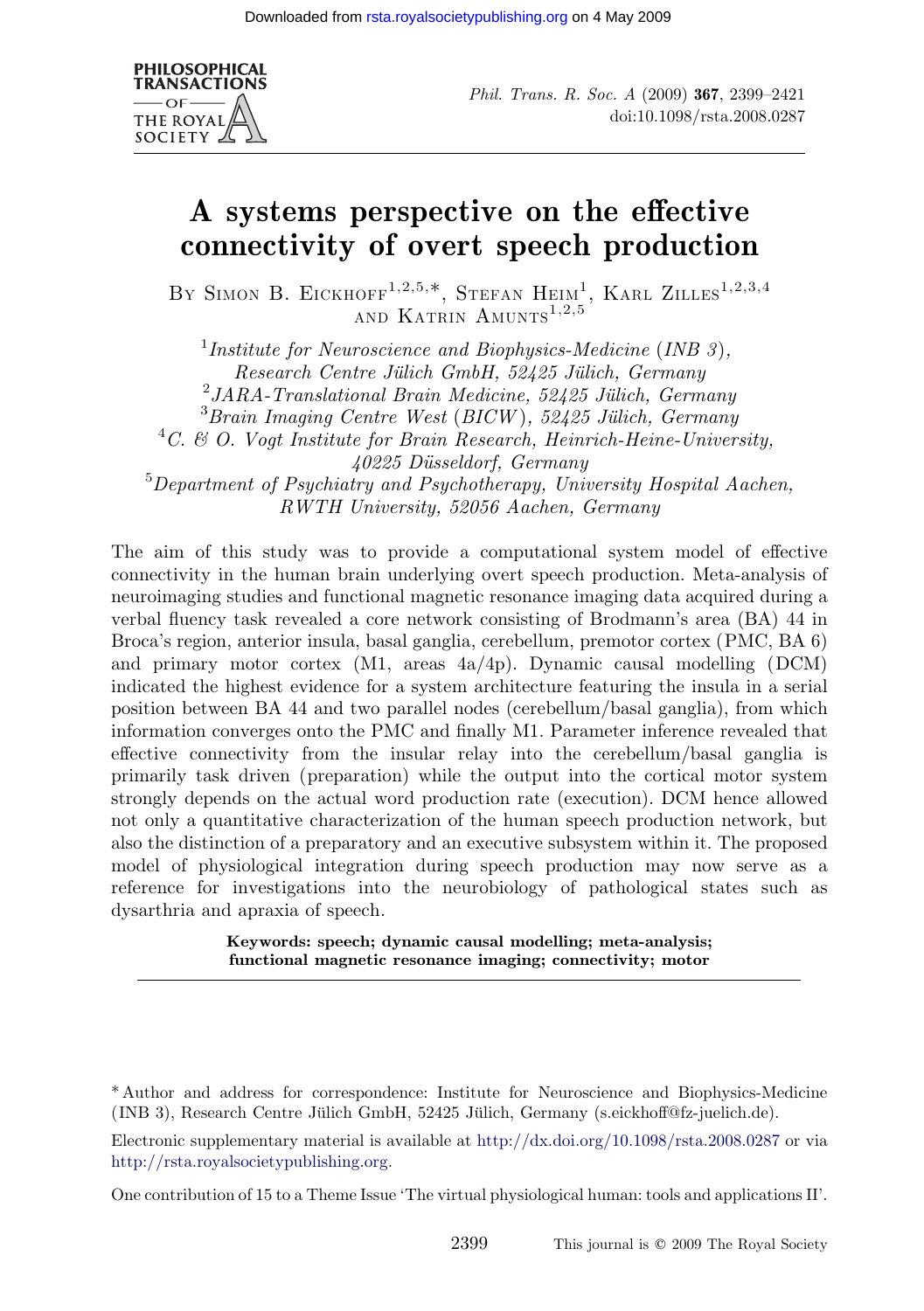

Phil. Trans. R. Soc. A (2009) 367, 2399–2421 doi:10.1098/rsta.2008.0287

## A systems perspective on the effective connectivity of overt speech production

BY SIMON B. EICKHOFF<sup>1,2,5,\*</sup>, STEFAN HEIM<sup>1</sup>, KARL ZILLES<sup>1,2,3,4</sup> AND KATRIN AMUNTS<sup>1,2,5</sup>

<sup>1</sup>Institute for Neuroscience and Biophysics-Medicine (INB  $3$ ), Research Centre Jülich GmbH, 52425 Jülich, Germany  $^{2}$ JARA-Translational Brain Medicine, 52425 Jülich, Germany  ${}^{3}$ Brain Imaging Centre West (BICW), 52425 Jülich, Germany  ${}^{4}C.$  & O. Vogt Institute for Brain Research, Heinrich-Heine-University, 40225 Du¨sseldorf, Germany <sup>5</sup>Department of Psychiatry and Psychotherapy, University Hospital Aachen, RWTH University, 52056 Aachen, Germany

The aim of this study was to provide a computational system model of effective connectivity in the human brain underlying overt speech production. Meta-analysis of neuroimaging studies and functional magnetic resonance imaging data acquired during a verbal fluency task revealed a core network consisting of Brodmann's area (BA) 44 in Broca's region, anterior insula, basal ganglia, cerebellum, premotor cortex (PMC, BA 6) and primary motor cortex (M1, areas 4a/4p). Dynamic causal modelling (DCM) indicated the highest evidence for a system architecture featuring the insula in a serial position between BA 44 and two parallel nodes (cerebellum/basal ganglia), from which information converges onto the PMC and finally M1. Parameter inference revealed that effective connectivity from the insular relay into the cerebellum/basal ganglia is primarily task driven (preparation) while the output into the cortical motor system strongly depends on the actual word production rate (execution). DCM hence allowed not only a quantitative characterization of the human speech production network, but also the distinction of a preparatory and an executive subsystem within it. The proposed model of physiological integration during speech production may now serve as a reference for investigations into the neurobiology of pathological states such as dysarthria and apraxia of speech.

> Keywords: speech; dynamic causal modelling; meta-analysis; functional magnetic resonance [imaging; connectivity; motor](http://dx.doi.org/10.1098/rsta.2008.0287)

One contribution of 15 to a Theme Issue 'The virtual physiological human: tools and applications II'.

<sup>\*</sup> Author and address for correspondence: Institute for Neuroscience and Biophysics-Medicine (INB 3), Research Centre Jülich GmbH, 52425 Jülich, Germany (s.eickhoff@fz-juelich.de).

Electronic supplementary material is available at http://dx.doi.org/10.1098/rsta.2008.0287 or via http://rsta.royalsocietypublishing.org.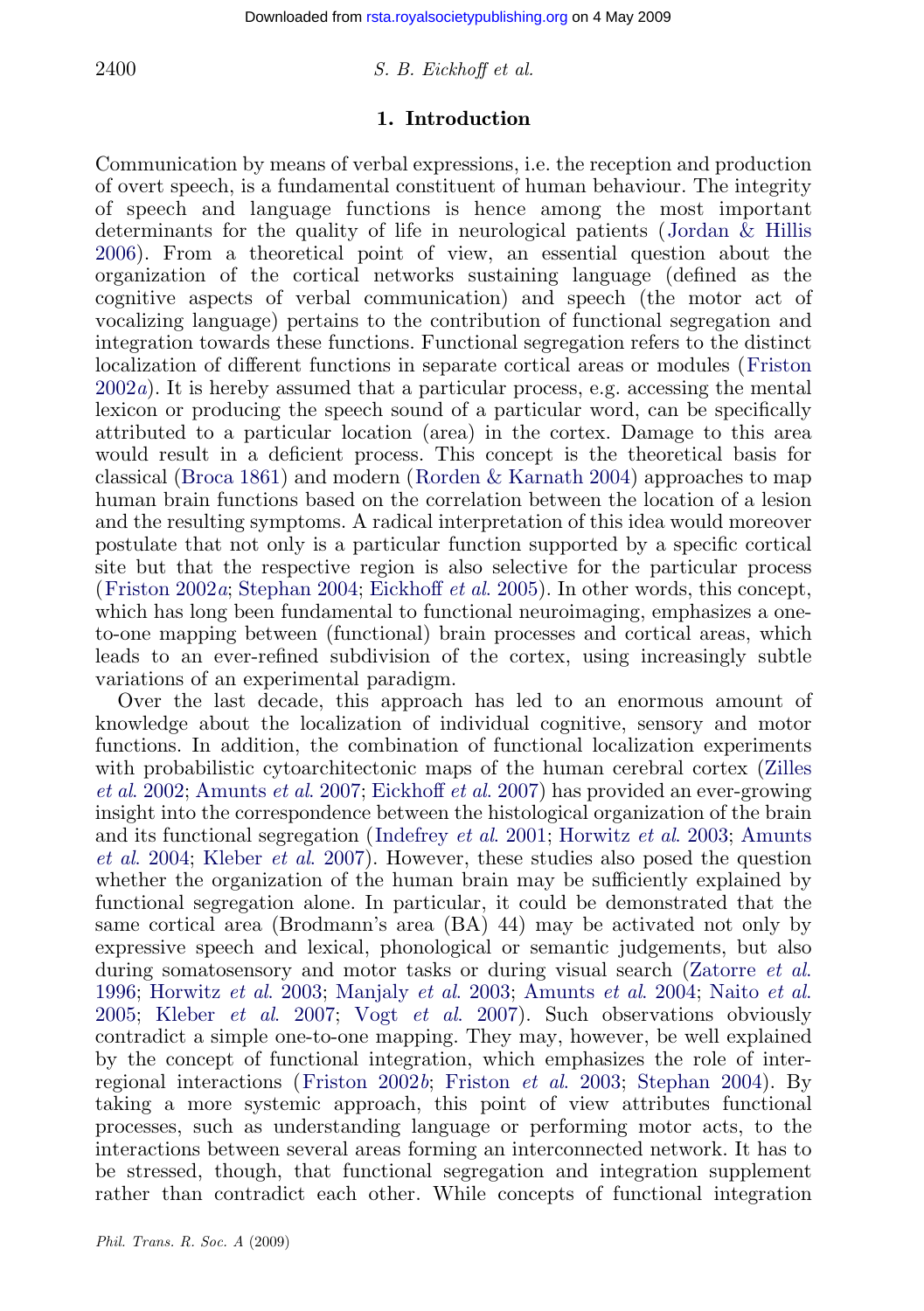## $2400$  S. B. Eickhoff et al.

#### 1. Introduction

Communication by means of verbal expressions, i.e. the reception and production of overt speech, is a fundamental constituent of human behaviour. The i[ntegrity](#page-21-0) [of sp](#page-21-0)eech and language functions is hence among the most important determinants for the quality of life in neurological patients (Jordan & Hillis 2006). From a theoretical point of view, an essential question about the organization of the cortical networks sustaining language (defined as the cognitive [aspects of](#page-20-0) verbal com[munication\) and speech](#page-23-0) (the motor act of vocalizing language) pertains to the contribution of functional segregation and integration towards these functions. Functional segregation refers to the distinct localization of different functions in separate cortical areas or modules (Friston  $2002a$ . It is hereby assumed that a particular process, e.g. accessing the mental l[exicon or prod](#page-21-0)[ucing the spee](#page-23-0)[ch sound of a partic](#page-20-0)ular word, can be specifically attributed to a particular location (area) in the cortex. Damage to this area would result in a deficient process. This concept is the theoretical basis for classical (Broca 1861) and modern (Rorden & Karnath 2004) approaches to map human brain functions based on the correlation between the location of a lesion and the resulting symptoms. A radical interpretation of this idea would moreover postulate that not only is a particular function supported by a specific cortical site but that the respective region is also selective for the particular process (Friston 2002a; Stephan 2004; Eickhoff et al. 2005). In other words, this co[ncept,](#page-23-0) [which has](#page-23-0) [long been fundamental to functional ne](#page-20-0)uroimaging, emphasizes a oneto-one mapping between (functional) brain processes and cortical areas, which leads to an ever-refined subd[ivision of the corte](#page-22-0)[x, using increasing](#page-21-0)l[y subtle](#page-20-0) [variations](#page-20-0) o[f an experimental](#page-22-0) paradigm.

Over the last decade, this approach has led to an enormous amount of knowledge about the localization of individual cognitive, sensory and motor functions. In addition, the combination of functional localization experiments with probabilistic cytoarchitectonic maps of the human cerebral cortex (Zilles et al. 2002; Amunts et al. 2007; Eickhoff et al. 2007) has provided a[n ever-growing](#page-23-0) [insigh](#page-23-0)[t into the correspond](#page-21-0)[ence between the his](#page-22-0)t[ological organization](#page-20-0) [of the brain](#page-22-0) [and i](#page-22-0)t[s functional segregati](#page-22-0)o[n \(Indefrey](#page-23-0) et al. 2001; Horwitz et al. 2003; Amunts et al. 2004; Kleber et al. 2007). However, these studies also posed the question whether the organization of the human brain may be sufficiently explained by functional segregation [alone. In part](#page-21-0)ic[ular, it could be de](#page-21-0)[monstrated tha](#page-23-0)t the same cortical area (Brodmann's area (BA) 44) may be activated not only by expressive speech and lexical, phonological or semantic judgements, but also during somatosensory and motor tasks or during visual search (Zatorre et al. 1996; Horwitz et al. 2003; Manjaly et al. 2003; Amunts et al. 2004; Naito et al. 2005; Kleber et al. 2007; Vogt et al. 2007). Such observations obviously contradict a simple one-to-one mapping. They may, however, be well explained by the concept of functional integration, which emphasizes the role of interregional interactions (Friston 2002b; Friston *et al.* 2003; Stephan 2004). By taking a more systemic approach, this point of view attributes functional processes, such as understanding language or performing motor acts, to the interactions between several areas forming an interconnected network. It has to be stressed, though, that functional segregation and integration supplement rather than contradict each other. While concepts of functional integration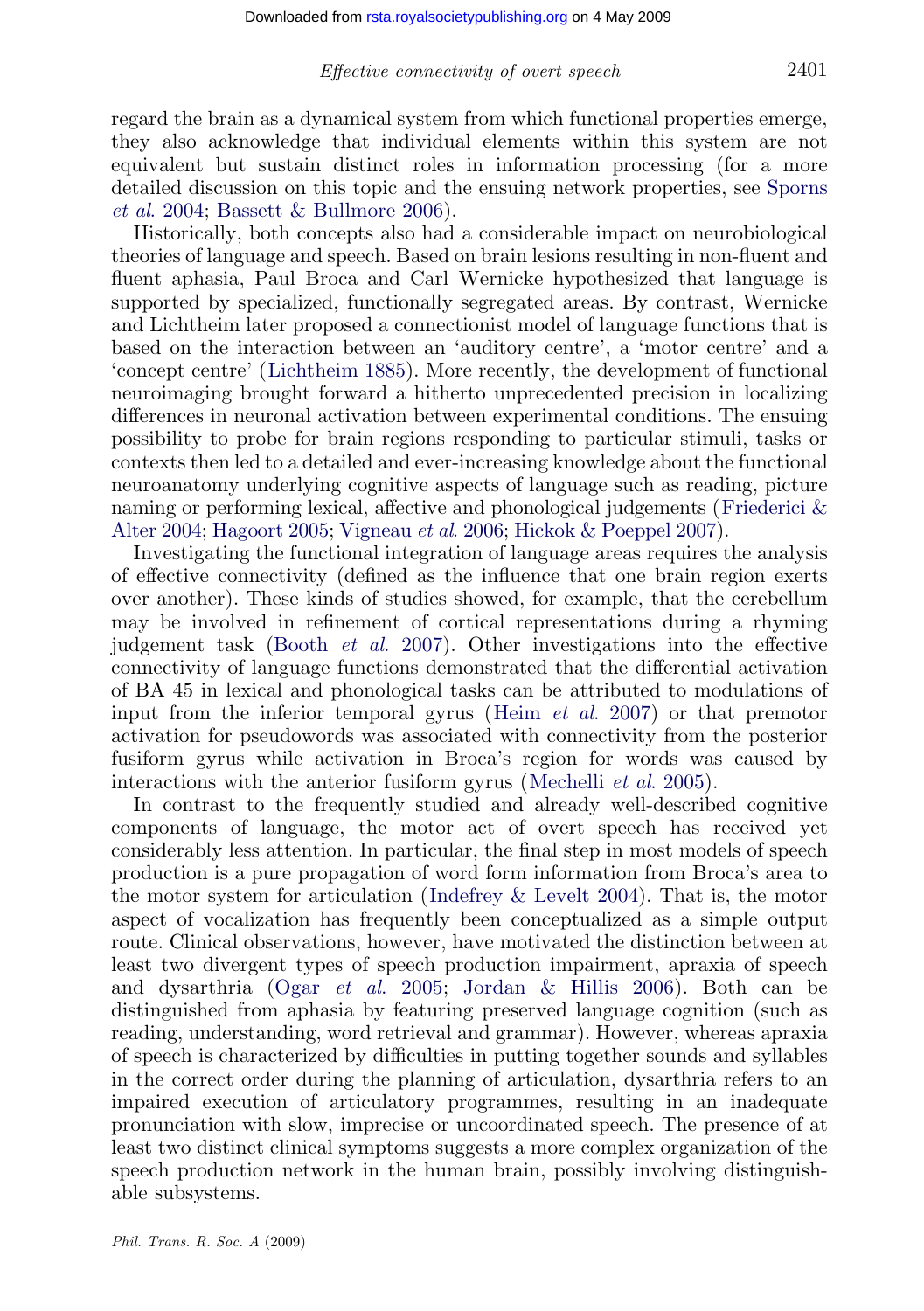#### Effective connectivity of overt speech 2401

regard the brain as a dynamical system from which functional properties emerge, they also acknowledge that individual elements within this system are not equivalent but sustain distinct roles in information processing (for a more detailed discussio[n on this topic a](#page-22-0)nd the ensuing network properties, see Sporns et al. 2004; Bassett & Bullmore 2006).

Historically, both concepts also had a considerable impact on neurobiological theories of language and speech. Based on brain lesions resulting in non-fluent and fluent aphasia, Paul Broca and Carl Wernicke hypothesized that language is supported by specialized, functionally segregated areas. By contrast, Wernicke and Lichtheim later proposed a connectionist model of language fun[ctions that is](#page-21-0) based on the interaction between an 'auditory centre', a 'motor centre' and a ['concept](#page-21-0) [centre'](#page-21-0) [\(Lichthe](#page-21-0)[im](#page-23-0) [1885\).](#page-23-0) [More](#page-23-0) [rec](#page-23-0)e[ntly,](#page-21-0) [the](#page-21-0) [development](#page-21-0) of functional neuroimaging brought forward a hitherto unprecedented precision in localizing differences in neuronal activation between experimental conditions. The ensuing possibility to probe for brain regions responding to particular stimuli, tasks or contexts then led to a detailed and ever-increasing knowledge about the functional neuroanatomy un[derlying](#page-20-0) [cognitive](#page-20-0) [a](#page-20-0)spects of language such as reading, picture naming or performing lexical, affective and phonological judgements (Friederici & Alter 2004; Hagoort 2005; Vigneau et al. 2006; [Hickok & Poepp](#page-21-0)el 2007).

Investigating the functional integration of language areas requires the analysis of effective connectivity (defined as the influence that one brain region exerts over another). These kinds of studies showed, for example, that the cerebellum may be involved in refinement of cortical r[epresentations](#page-22-0) [durin](#page-22-0)g a rhyming judgement task (Booth et al. 2007). Other investigations into the effective connectivity of language functions demonstrated that the differential activation of BA 45 in lexical and phonological tasks can be attributed to modulations of input from the inferior temporal gyrus (Heim et al. 2007) or that premotor activation for pseudowords was ass[ociated](#page-21-0) [with](#page-21-0) [connectivit](#page-21-0)y from the posterior fusiform gyrus while activation in Broca's region for words was caused by interactions with the anterior fusiform gyrus (Mechelli *et al.* 2005).

In contrast to the frequently studied and already well-described cognitive components of l[anguage,](#page-22-0) [the](#page-22-0) [moto](#page-22-0)r [act](#page-22-0) [of](#page-22-0) [overt](#page-22-0) [speech](#page-22-0) [h](#page-22-0)as received yet considerably less attention. In particular, the final step in most models of speech production is a pure propagation of word form information from Broca's area to the motor system for articulation (Indefrey & Levelt 2004). That is, the motor aspect of vocalization has frequently been conceptualized as a simple output route. Clinical observations, however, have motivated the distinction between at least two divergent types of speech production impairment, apraxia of speech and dysarthria (Ogar et al. 2005; Jordan & Hillis 2006). Both can be distinguished from aphasia by featuring preserved language cognition (such as reading, understanding, word retrieval and grammar). However, whereas apraxia of speech is characterized by difficulties in putting together sounds and syllables in the correct order during the planning of articulation, dysarthria refers to an impaired execution of articulatory programmes, resulting in an inadequate pronunciation with slow, imprecise or uncoordinated speech. The presence of at least two distinct clinical symptoms suggests a more complex organization of the speech production network in the human brain, possibly involving distinguishable subsystems.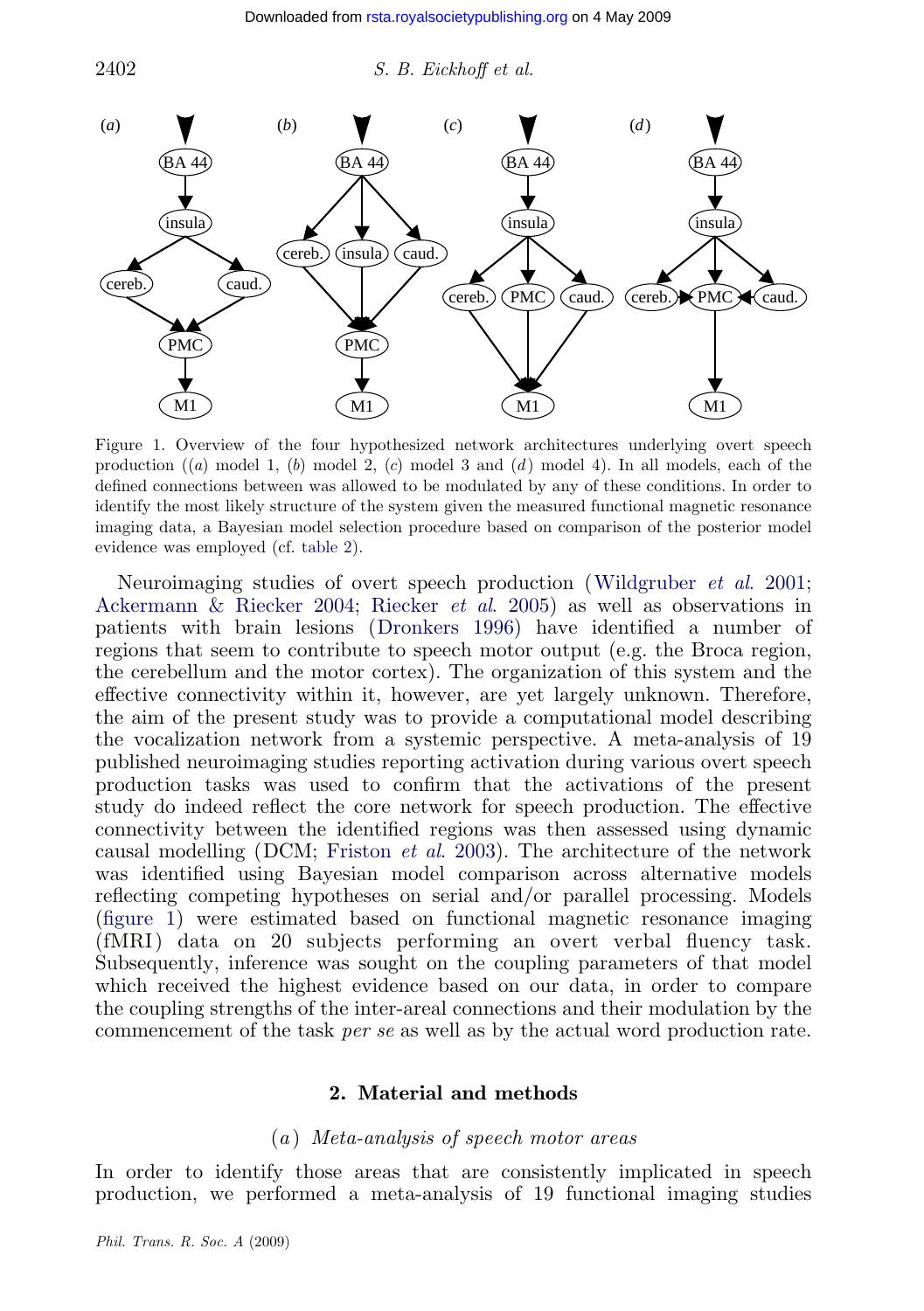<span id="page-4-0"></span>

[Figure](#page-20-0) [1.](#page-20-0) [Overview](#page-20-0) [of](#page-20-0) [the](#page-20-0) [four](#page-20-0) [h](#page-20-0)y[p](#page-23-0)[othesized network](#page-20-0) [arch](#page-23-0)itectures underlying overt speech production  $(a)$  model 1,  $(b)$  model 2,  $(c)$  model 3 and  $(d)$  model 4). In all models, each of the defined connections between was allowed to be modulated by any of these conditions. In order to identify the most likely structure of the system given the measured functional magnetic resonance imaging data, a Bayesian model selection procedure based on comparison of the posterior model evidence was employed (cf. table 2).

Neuroimaging studies of overt speech production (Wildgruber et al. 2001; Ackermann & Riecker 2004; Riecker et al. 2005) as well as observations in patients with brain lesions (Dronkers 1996) have identified a number of regions that seem to contribute to speech motor output (e.g. the Broca region, the cerebellum and the [motor cortex\). The o](#page-21-0)rganization of this system and the effective connectivity within it, however, are yet largely unknown. Therefore, the aim of the present study was to provide a computational model describing the vocalization network from a systemic perspective. A meta-analysis of 19 published neuroimaging studies reporting activation during various overt speech production tasks was used to confirm that the activations of the present study do indeed reflect the core network for speech production. The effective connectivity between the identified regions was then assessed using dynamic causal modelling (DCM; Friston et al. 2003). The architecture of the network was identified using Bayesian model comparison across alternative models reflecting competing hypotheses on serial and/or parallel processing. Models (figure 1) were estimated based on functional magnetic resonance imaging (fMRI) data on 20 subjects performing an overt verbal fluency task. Subsequently, inference was sought on the coupling parameters of that model which received the highest evidence based on our data, in order to compare the coupling strengths of the inter-areal connections and their modulation by the commencement of the task per se as well as by the actual word production rate.

## 2. Material and methods

## (a ) Meta-analysis of speech motor areas

In order to identify those areas that are consistently implicated in speech production, we performed a meta-analysis of 19 functional imaging studies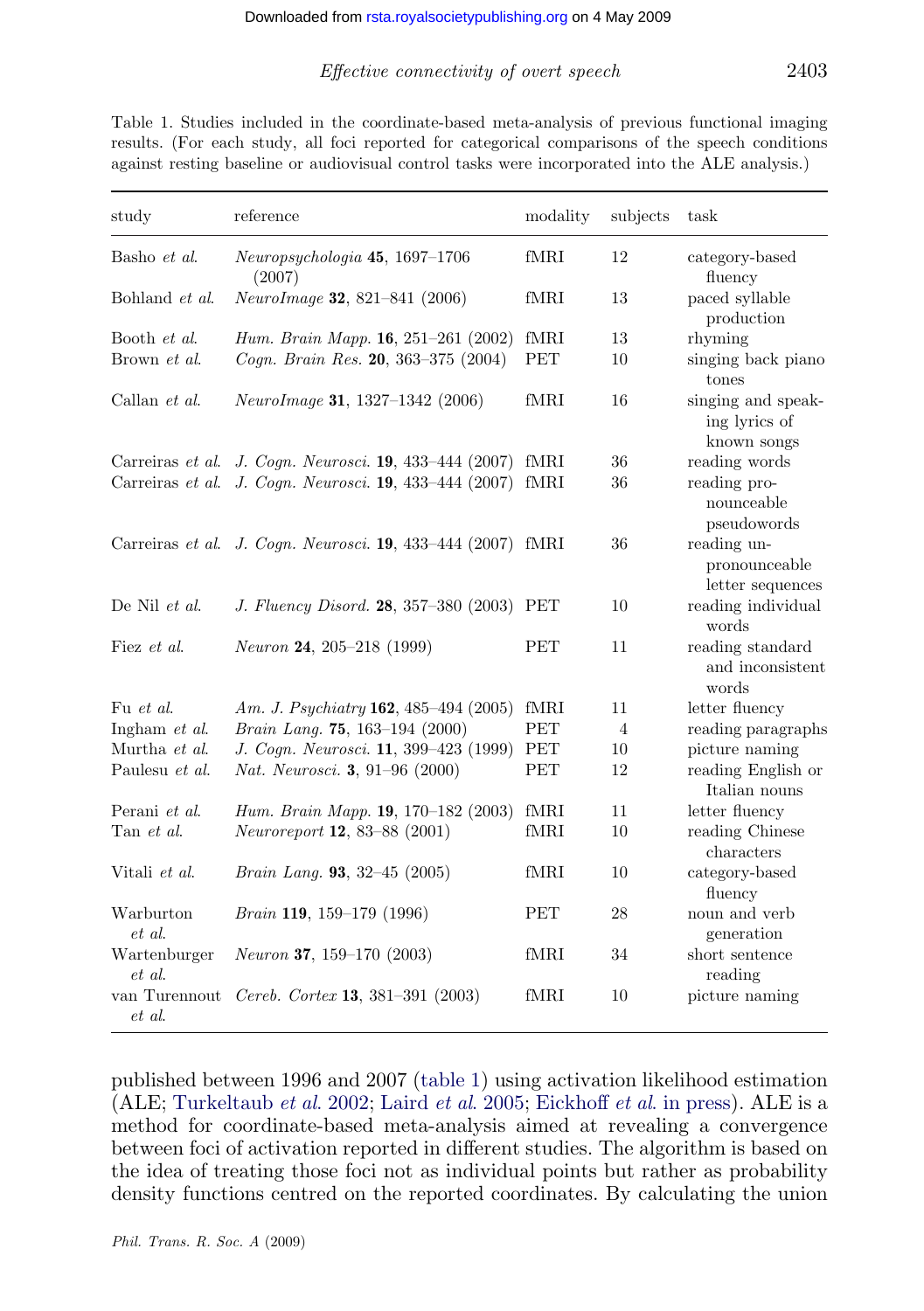Table 1. Studies included in the coordinate-based meta-analysis of previous functional imaging results. (For each study, all foci reported for categorical comparisons of the speech conditions against resting baseline or audiovisual control tasks were incorporated into the ALE analysis.)

| study                   | reference                                                   | modality              | subjects       | task                                               |
|-------------------------|-------------------------------------------------------------|-----------------------|----------------|----------------------------------------------------|
| Basho et al.            | $Neuropsychologia$ 45, 1697-1706<br>(2007)                  | fMRI                  | 12             | category-based<br>fluency                          |
| Bohland et al.          | NeuroImage 32, 821-841 (2006)                               | fMRI                  | 13             | paced syllable<br>production                       |
| Booth et al.            | Hum. Brain Mapp. $16, 251-261$ (2002)                       | fMRI                  | 13             | rhyming                                            |
| Brown et al.            | Cogn. Brain Res. 20, 363-375 (2004)                         | <b>PET</b>            | 10             | singing back piano<br>tones                        |
| Callan <i>et al.</i>    | NeuroImage 31, 1327-1342 (2006)                             | fMRI                  | 16             | singing and speak-<br>ing lyrics of<br>known songs |
| Carreiras <i>et al.</i> | J. Cogn. Neurosci. 19, 433-444 (2007)                       | fMRI                  | 36             | reading words                                      |
|                         | Carreiras et al. J. Cogn. Neurosci. 19, 433-444 (2007)      | fMRI                  | 36             | reading pro-<br>nounceable<br>pseudowords          |
|                         | Carreiras et al. J. Cogn. Neurosci. 19, 433-444 (2007) fMRI |                       | 36             | reading un-<br>pronounceable<br>letter sequences   |
| De Nil et al.           | J. Fluency Disord. 28, 357-380 (2003)                       | PET                   | 10             | reading individual<br>words                        |
| Fiez et al.             | <i>Neuron</i> 24, 205-218 (1999)                            | PET                   | 11             | reading standard<br>and inconsistent<br>words      |
| Fu et al.               | Am. J. Psychiatry 162, 485-494 (2005)                       | fMRI                  | 11             | letter fluency                                     |
| Ingham et al.           | Brain Lang. 75, 163-194 (2000)                              | <b>PET</b>            | $\overline{4}$ | reading paragraphs                                 |
| Murtha et al.           | J. Cogn. Neurosci. 11, 399-423 (1999)                       | PET                   | 10             | picture naming                                     |
| Paulesu et al.          | Nat. Neurosci. 3, 91-96 (2000)                              | PET                   | 12             | reading English or<br>Italian nouns                |
| Perani et al.           | Hum. Brain Mapp. 19, 170-182 (2003)                         | $\operatorname{fMRI}$ | 11             | letter fluency                                     |
| Tan et al.              | Neuroreport 12, 83-88 (2001)                                | fMRI                  | 10             | reading Chinese<br>characters                      |
| Vitali et al.           | <i>Brain Lang.</i> <b>93</b> , 32-45 $(2005)$               | fMRI                  | 10             | category-based<br>fluency                          |
| Warburton<br>et al.     | Brain 119, 159-179 (1996)                                   | PET                   | 28             | noun and verb<br>generation                        |
| Wartenburger<br>et al.  | <i>Neuron</i> 37, 159–170 $(2003)$                          | fMRI                  | 34             | short sentence<br>reading                          |
| van Turennout<br>et al. | Cereb. Cortex 13, 381-391 (2003)                            | fMRI                  | 10             | picture naming                                     |

published between 1996 and 2007 (table 1) using activation likelihood estimation (ALE; Turkeltaub et al. 2002; Laird et al. 2005; Eickhoff et al. in press). ALE is a method for coordinate-based meta-analysis aimed at revealing a convergence between foci of activation reported in different studies. The algorithm is based on the idea of treating those foci not as individual points but rather as probability density functions centred on the reported coordinates. By calculating the union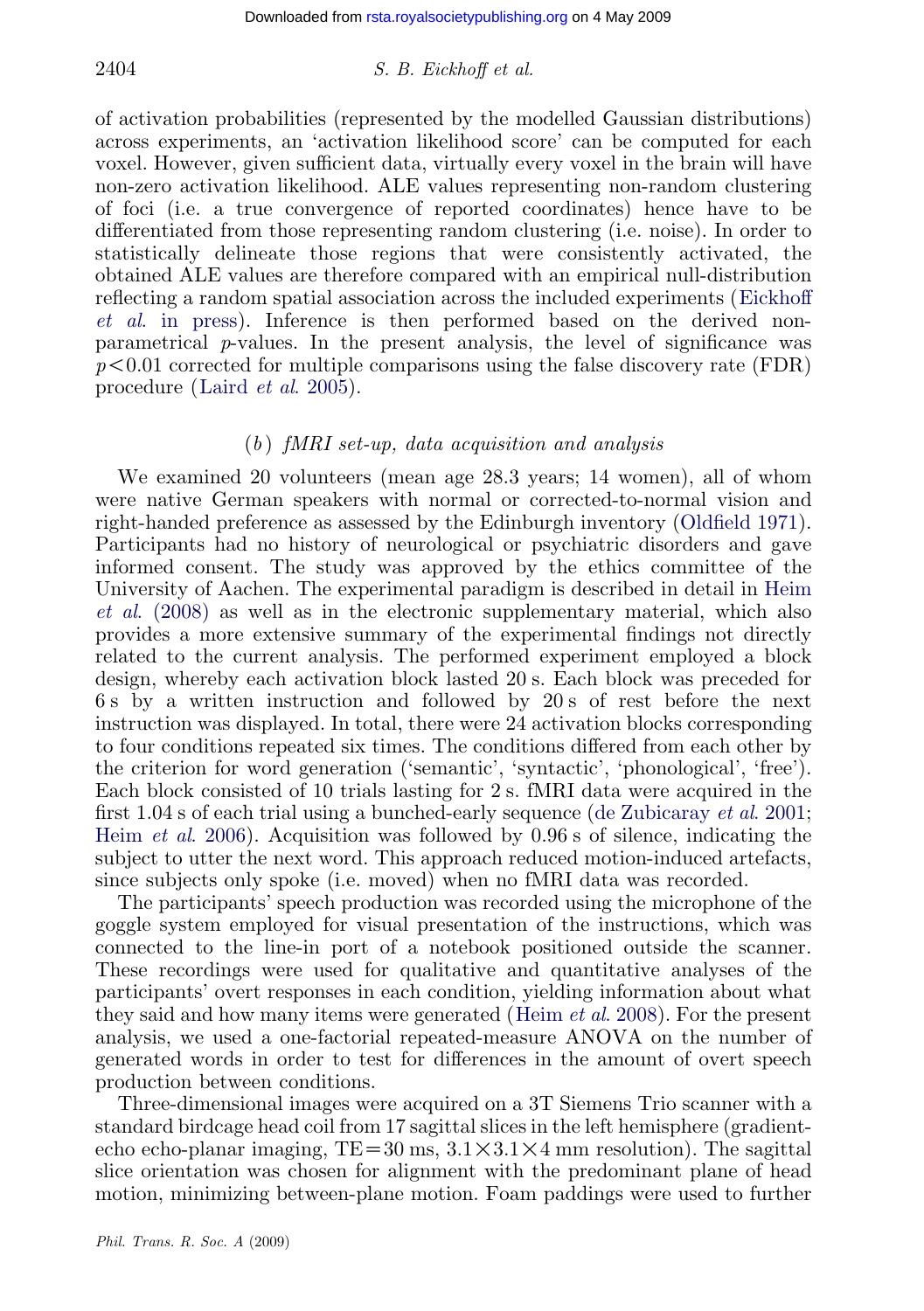#### $2404$  S. B. Eickhoff et al.

of activation probabilities (represented by the modelled Gaussian distri[butions\)](#page-20-0) [across experime](#page-20-0)nts, an 'activation likelihood score' can be computed for each voxel. However, given sufficient data, virtually every voxel in the brain will have non-zero activation likelihood. ALE values representing non-random clustering of foci (i.e[. a true converg](#page-22-0)ence of reported coordinates) hence have to be differentiated from those representing random clustering (i.e. noise). In order to statistically delineate those regions that were consistently activated, the obtained ALE values are therefore compared with an empirical null-distribution reflecting a random spatial association across the included experiments (Eickhoff et al. in press). Inference is then performed based on the derived nonparametrical  $p$ -values. In the present analysis, the level of si[gnificance wa](#page-22-0)s  $p<0.01$  corrected for multiple comparisons using the false discovery rate (FDR) procedure (Laird et al. 2005).

## $(b)$  fMRI set-up, data acquisition and analysis

We examined 20 volunteers (mean age 28.3 years; 14 women), all of whom were native German speakers with normal or corrected-to-normal vision and right-handed preference as assessed by the Edinburgh inventory (Oldfield 1971). Participants had no history of neurological or psychiatric disorders and gave informed consent. The study was approved by the ethics committee of the University of Aachen. The experimental paradigm is described in detail in Heim et al. (2008) as well as in the electronic supplementary material, which also provides a more extensive summary of the experimen[tal findings not directly](#page-20-0) [related to the cu](#page-21-0)rrent analysis. The performed experiment employed a block design, whereby each activation block lasted 20 s. Each block was preceded for 6 s by a written instruction and followed by 20 s of rest before the next instruction was displayed. In total, there were 24 activation blocks corresponding to four conditions repeated six times. The conditions differed from each other by the criterion for word generation ('semantic', 'syntactic', 'phonological', 'free'). Each block consisted of 10 trials lasting for 2 s. fMRI data were acquired in the first 1.04 s of each trial using a bunched-early sequence (de Zubicaray *et al.* 2001; Heim et al. 2006). Acquisition was followed b[y 0.96 s of silenc](#page-21-0)e, indicating the subject to utter the next word. This approach reduced motion-induced artefacts, since subjects only spoke (i.e. moved) when no fMRI data was recorded.

The participants' speech production was recorded using the microphone of the goggle system employed for visual presentation of the instructions, which was connected to the line-in port of a notebook positioned outside the scanner. These recordings were used for qualitative and quantitative analyses of the participants' overt responses in each condition, yielding information about what they said and how many items were generated (Heim  $et al. 2008$ ). For the present analysis, we used a one-factorial repeated-measure ANOVA on the number of generated words in order to test for differences in the amount of overt speech production between conditions.

Three-dimensional images were acquired on a 3T Siemens Trio scanner with a standard birdcage head coil from 17 sagittal slices in the left hemisphere (gradientecho echo-planar imaging, TE=30 ms,  $3.1 \times 3.1 \times 4$  mm resolution). The sagittal slice orientation was chosen for alignment with the predominant plane of head motion, minimizing between-plane motion. Foam paddings were used to further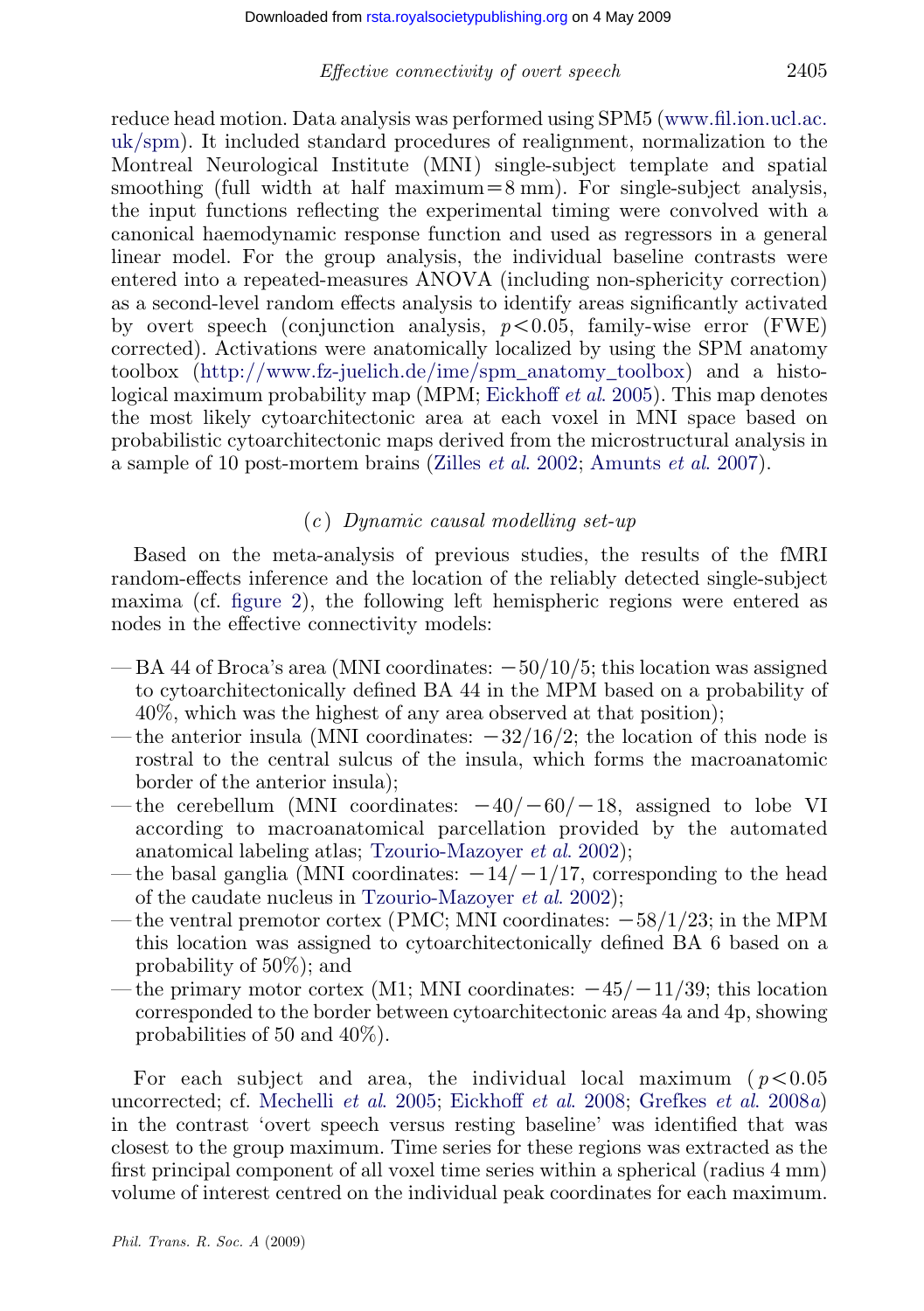## Effective connectivity of overt speech 2405

reduce head motion. Data analysis was performed using SPM5 (www.fil.ion.ucl.ac. uk/spm). It included standard procedures of realignment, normalization to the Montreal Neurological Institute (MNI) single-subject template and spatial smoothing (full width at half maximum $=8$  mm). For single-subject analysis, the input [functions](http://www.fz-juelich.de/ime/spm_anatomy_toolbox) [reflecting](http://www.fz-juelich.de/ime/spm_anatomy_toolbox) [the](http://www.fz-juelich.de/ime/spm_anatomy_toolbox) [experimental](http://www.fz-juelich.de/ime/spm_anatomy_toolbox) [timing](http://www.fz-juelich.de/ime/spm_anatomy_toolbox) [were](http://www.fz-juelich.de/ime/spm_anatomy_toolbox) [co](http://www.fz-juelich.de/ime/spm_anatomy_toolbox)nvolved with a canonical haemodynamic response functi[on](#page-20-0) [and](#page-20-0) [used](#page-20-0) [as](#page-20-0) [reg](#page-20-0)ressors in a general linear model. For the group analysis, the individual baseline contrasts were entered into a repeated-measures ANOVA (including non-sphericity correction) as a second-level random effects ana[lysis](#page-23-0) [to](#page-23-0) [identify](#page-23-0) [a](#page-23-0)[reas](#page-20-0) [significantly](#page-20-0) [ac](#page-20-0)tivated by overt speech (conjunction analysis,  $p < 0.05$ , family-wise error (FWE) corrected). Activations were anatomically localized by using the SPM anatomy toolbox (http://www.fz-juelich.de/ime/spm\_anatomy\_toolbox) and a histological maximum probability map (MPM; Eickhoff *et al.* 2005). This map denotes the most lik[ely cytoa](#page-8-0)rchitectonic area at each voxel in MNI space based on probabilistic cytoarchitectonic maps derived from the microstructural analysis in a sample of 10 post-mortem brains (Zilles et al. 2002; Amunts et al. 2007).

## $(c)$  Dynamic causal modelling set-up

Based on the meta-analysis of previous studies, the results of the fMRI random-effects inference and the location of the reliably detected single-subject maxima (cf. figure 2), the following left hemispheric regions were entered as nodes in the effective connectivity models:

- $-BA$  44 of Broca's area (MNI coordinates:  $-50/10/5$ ; this location was assigned to cytoarchitectonically d[efined](#page-23-0) [BA](#page-23-0) [44](#page-23-0) [in](#page-23-0) [the](#page-23-0) [MPM](#page-23-0) [ba](#page-23-0)sed on a probability of 40%, which was the high[est of any area observed at th](#page-23-0)at position);
- the anterior insula (MNI coordinates:  $-32/16/2$ ; the location of this node is rostral to the central sulcus of the insula, which forms the macroanatomic border of the anterior insula);
- the cerebellum (MNI coordinates:  $-40/-60/-18$ , assigned to lobe VI according to macroanatomical parcellation provided by the automated anatomical labeling atlas; Tzourio-Mazoyer et al. 2002);
- the basal ganglia (MNI coordinates:  $-14/-1/17$ , corresponding to the head of the caudate nucleus in Tzourio-Mazoyer et al. 2002);
- the ventral pr[emotor cortex \(PMC](#page-22-0)[; MNI coordinates:](#page-20-0)  $-58/1/23$ ; in the MPM this location was assigned to cytoarchitectonically defined BA 6 based on a probability of 50%); and
- the primary motor cortex (M1; MNI coordinates:  $-45/-11/39$ ; this location corresponded to the border between cytoarchitectonic areas 4a and 4p, showing probabilities of 50 and 40%).

For each subject and area, the individual local maximum ( $p < 0.05$ ) uncorrected; cf. Mechelli et al. 2005; Eickhoff et al. 2008; Grefkes et al. 2008a) in the contrast 'overt speech versus resting baseline' was identified that was closest to the group maximum. Time series for these regions was extracted as the first principal component of all voxel time series within a spherical (radius 4 mm) volume of interest centred on the individual peak coordinates for each maximum.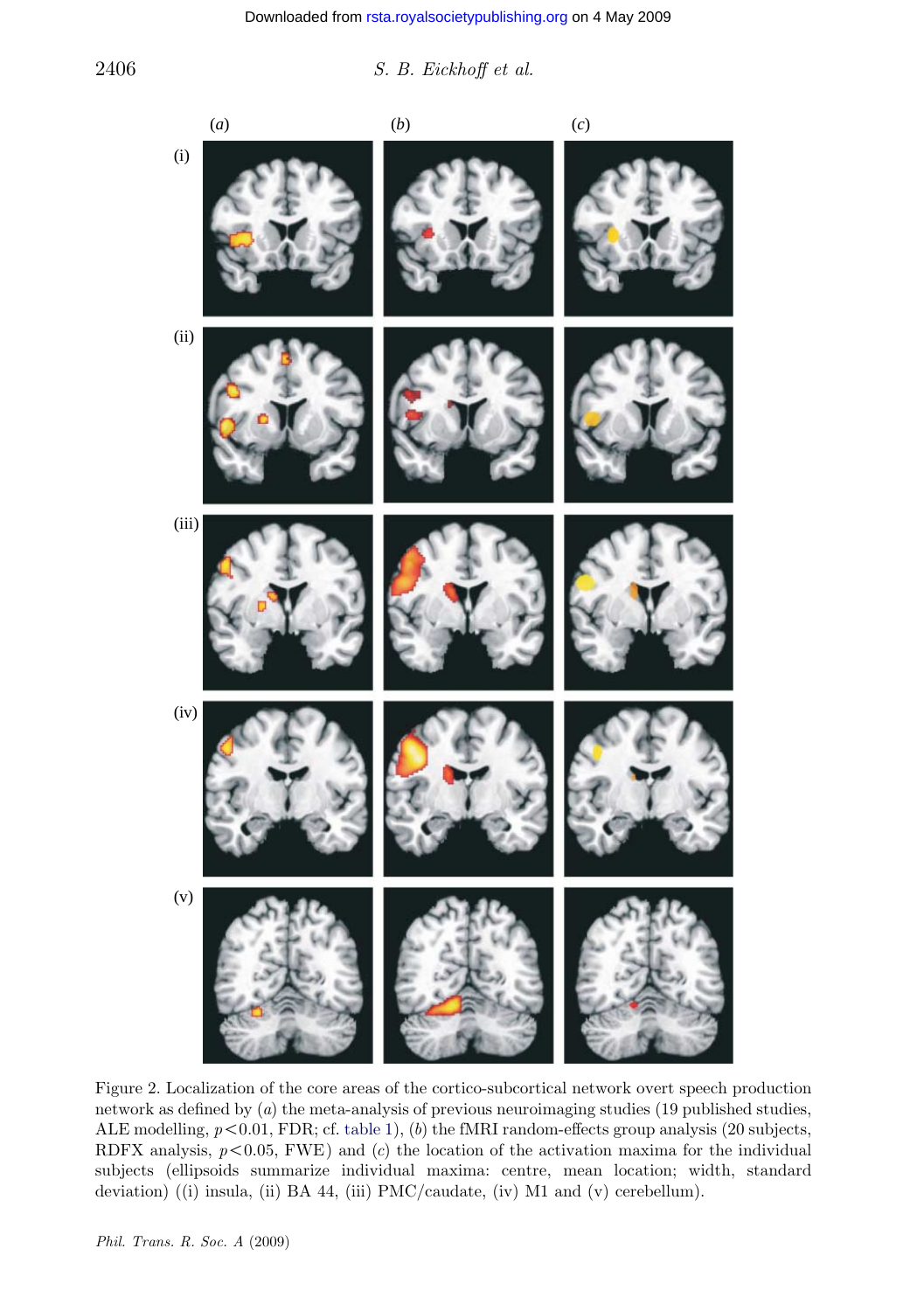<span id="page-8-0"></span>2406 S. B. Eickhoff et al.



Figure 2. Localization of the core areas of the cortico-subcortical network overt speech production network as defined by (a) the meta-analysis of previous neuroimaging studies (19 published studies, ALE modelling,  $p < 0.01$ , FDR; cf. table 1), (b) the fMRI random-effects group analysis (20 subjects, RDFX analysis,  $p < 0.05$ , FWE) and (c) the location of the activation maxima for the individual subjects (ellipsoids summarize individual maxima: centre, mean location; width, standard deviation) ((i) insula, (ii) BA 44, (iii) PMC/caudate, (iv) M1 and (v) cerebellum).

Phil. Trans. R. Soc. A (2009)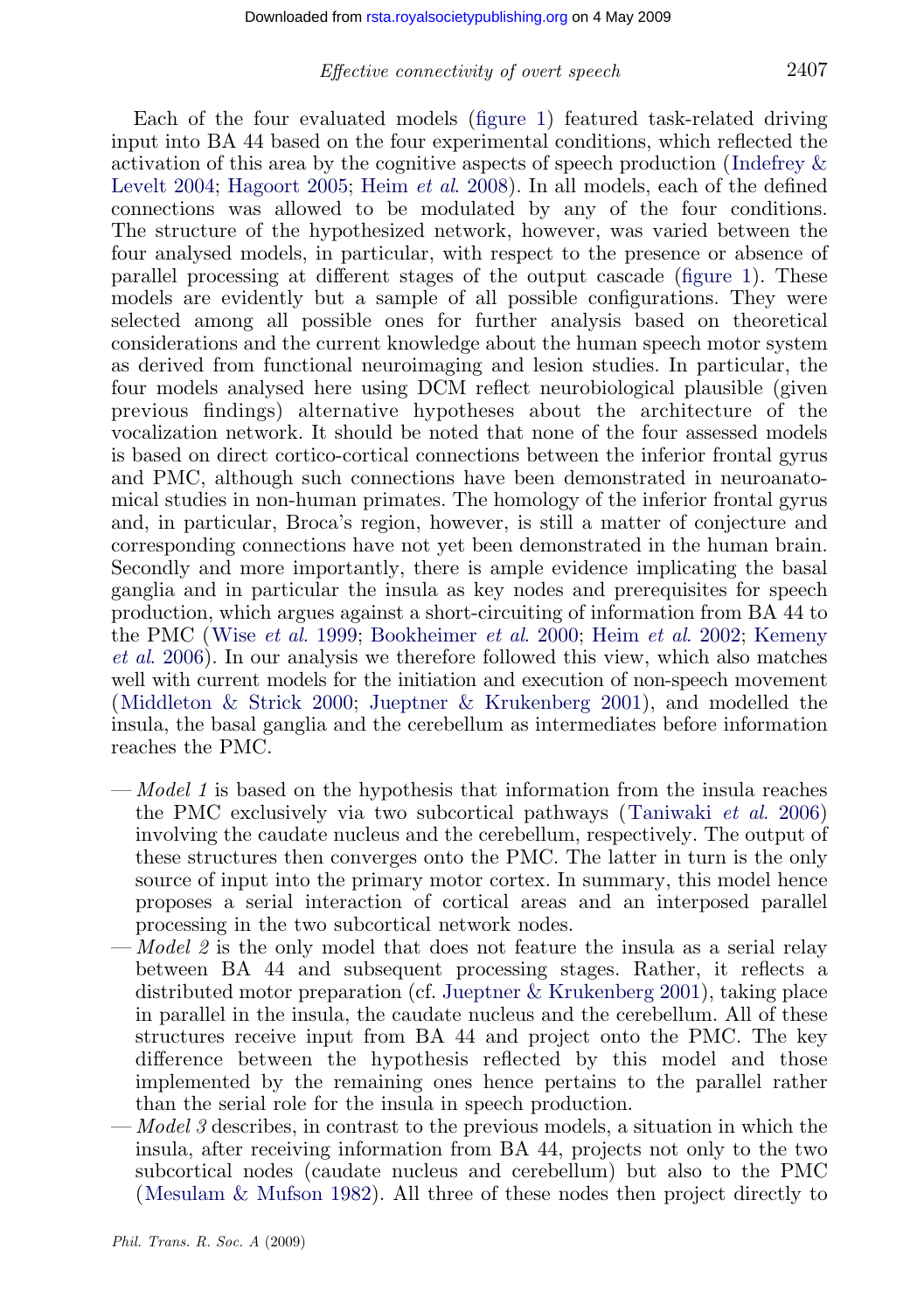#### Effective connectivity of overt speech 2407

Each of the four evaluated models (figure 1) featured tas[k-related](#page-4-0) driving input into BA 44 based on the four experimental conditions, which reflected the activation of this area by the cognitive aspects of speech production (Indefrey & Levelt 2004; Hagoort 2005; Heim et al. 2008). In all models, each of the defined connections was allowed to be modulated by any of the four conditions. The structure of the hypothesized network, however, was varied between the four analysed models, in particular, with respect to the presence or absence of parallel processing at different stages of the output cascade (figure 1). These models are evidently but a sample of all possible configurations. They were selected among all possible ones for further analysis based on theoretical considerations and the current knowledge about the human speech motor system as derived from functional neuroimaging and lesion studies. In particular, the four models analysed here using DCM reflect neurobiological plausible (given previous findings) alternative hypotheses about the architecture of the vocalization network. It should be noted that none of the four assessed models is based on [direct cortico-co](#page-23-0)r[tical connections betwee](#page-20-0)[n the inferior fron](#page-21-0)[tal gyrus](#page-22-0) [and PMC,](#page-22-0) although such connections have been demonstrated in neuroanatomical studies in non-human primates. The homology of the inferior frontal gyrus [and, in particular, Broca's](#page-22-0) r[egion, however, is still a matt](#page-22-0)er of conjecture and corresponding connections have not yet been demonstrated in the human brain. Secondly and more importantly, there is ample evidence implicating the basal ganglia and in particular the insula as key nodes and prerequisites for speech production, which argues against a short-circuiting of information from BA 44 to the PMC (Wise et al. 1999; Bookheimer et al. 2000; Heim et al. 2002; [Kemeny](#page-23-0) et al. 2006). In our analysis we therefore followed this view, which also matches well with current models for the initiation and execution of non-speech movement (Middleton & Strick 2000; Jueptner & Krukenberg 2001), and modelled the insula, the basal ganglia and the cerebellum as intermediates before information reaches the PMC.

- Model 1 is based on the hypothesis that information from the insula reaches the PMC exclusively via two su[bcortical pathways \(Taniwak](#page-22-0)i et al. 2006) involving the caudate nucleus and the cerebellum, respectively. The output of these structures then converges onto the PMC. The latter in turn is the only source of input into the primary motor cortex. In summary, this model hence proposes a serial interaction of cortical areas and an interposed parallel processing in the two subcortical network nodes.
- -*Model 2* is the only model that does not feature the insula as a serial relay between BA 44 and subsequent processing stages. Rather, it reflects a distributed motor preparation (cf. Jueptner & Krukenberg 2001), taking place i[n parallel in the insula, th](#page-22-0)e caudate nucleus and the cerebellum. All of these structures receive input from BA 44 and project onto the PMC. The key difference between the hypothesis reflected by this model and those implemented by the remaining ones hence pertains to the parallel rather than the serial role for the insula in speech production.
- Model 3 describes, in contrast to the previous models, a situation in which the insula, after receiving information from BA 44, projects not only to the two subcortical nodes (caudate nucleus and cerebellum) but also to the PMC (Mesulam & Mufson 1982). All three of these nodes then project directly to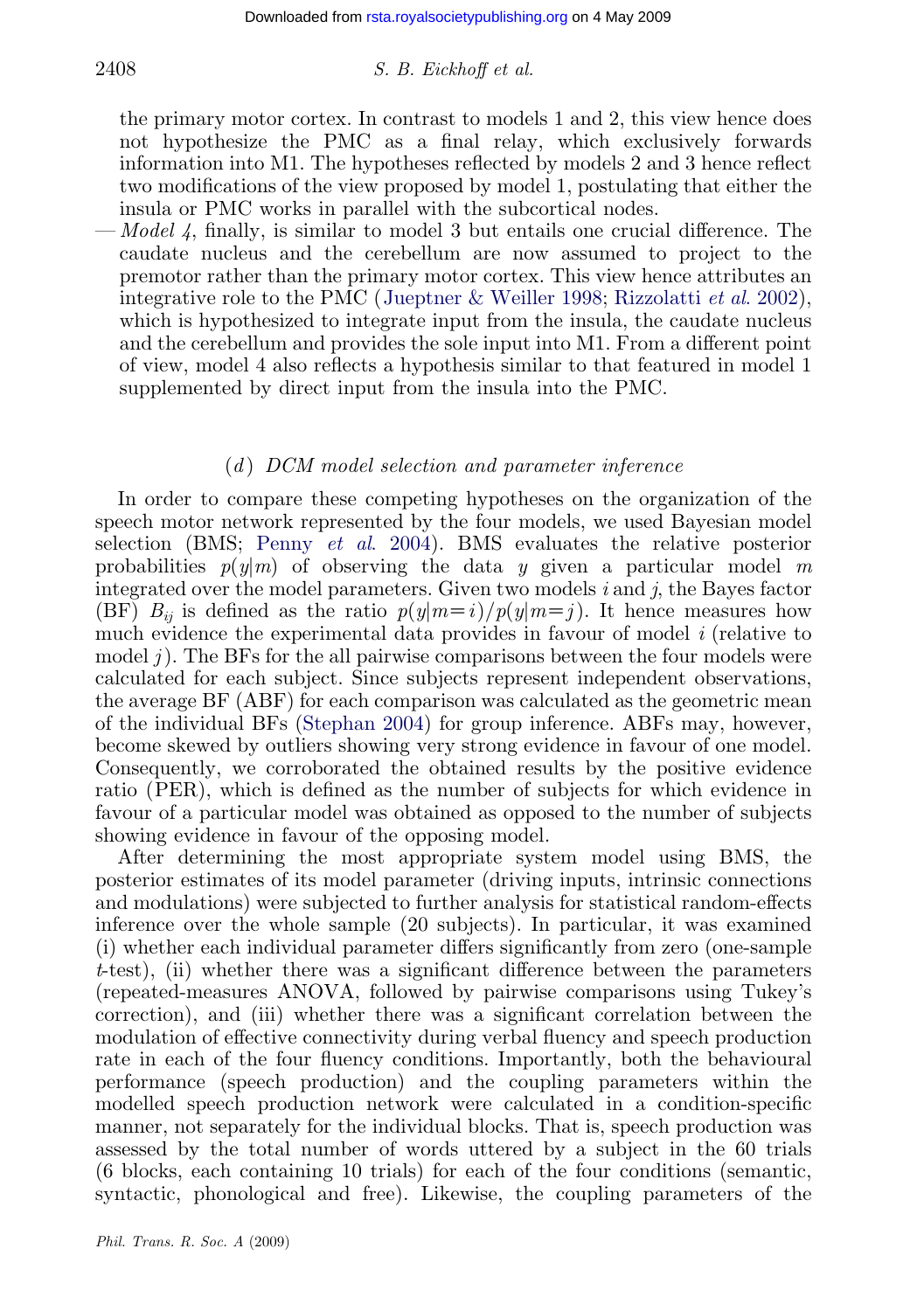## 2408 S. B. Eickhoff et al.

the primary motor cortex. In [contrast to models 1 and](#page-22-0) [2, this view hence doe](#page-23-0)s not hypothesize the PMC as a final relay, which exclusively forwards information into M1. The hypotheses reflected by models 2 and 3 hence reflect two modifications of the view proposed by model 1, postulating that either the insula or PMC works in parallel with the subcortical nodes.

— Model 4, finally, is similar to model 3 but entails one crucial difference. The caudate nucleus and the cerebellum are now assumed to project to the premotor rather than the primary motor cortex. This view hence attributes an integrative role to the PMC (Jueptner & Weiller 1998; Rizzolatti et al. 2002), which is hypothesized to integrate input from the insula, the caudate nucleus and the cerebellum and provides the sole input into M1. From a different point of view, model [4 also reflects a hyp](#page-22-0)othesis similar to that featured in model 1 supplemented by direct input from the insula into the PMC.

#### $(d)$  DCM model selection and parameter inference

In order to compare these competing hypotheses on the organization of the speech motor network represented by the four models, we used Bayesian model selection (BMS; Penny et al[. 2004](#page-23-0)). BMS evaluates the relative posterior probabilities  $p(y|m)$  of observing the data y given a particular model m integrated over the model parameters. Given two models  $i$  and  $j$ , the Bayes factor (BF)  $B_{ii}$  is defined as the ratio  $p(y|m=i)/p(y|m=j)$ . It hence measures how much evidence the experimental data provides in favour of model  $i$  (relative to model  $i$ ). The BFs for the all pairwise comparisons between the four models were calculated for each subject. Since subjects represent independent observations, the average BF (ABF) for each comparison was calculated as the geometric mean of the individual BFs (Stephan 2004) for group inference. ABFs may, however, become skewed by outliers showing very strong evidence in favour of one model. Consequently, we corroborated the obtained results by the positive evidence ratio (PER), which is defined as the number of subjects for which evidence in favour of a particular model was obtained as opposed to the number of subjects showing evidence in favour of the opposing model.

After determining the most appropriate system model using BMS, the posterior estimates of its model parameter (driving inputs, intrinsic connections and modulations) were subjected to further analysis for statistical random-effects inference over the whole sample (20 subjects). In particular, it was examined (i) whether each individual parameter differs significantly from zero (one-sample  $t$ -test), (ii) whether there was a significant difference between the parameters (repeated-measures ANOVA, followed by pairwise comparisons using Tukey's correction), and (iii) whether there was a significant correlation between the modulation of effective connectivity during verbal fluency and speech production rate in each of the four fluency conditions. Importantly, both the behavioural performance (speech production) and the coupling parameters within the modelled speech production network were calculated in a condition-specific manner, not separately for the individual blocks. That is, speech production was assessed by the total number of words uttered by a subject in the 60 trials (6 blocks, each containing 10 trials) for each of the four conditions (semantic, syntactic, phonological and free). Likewise, the coupling parameters of the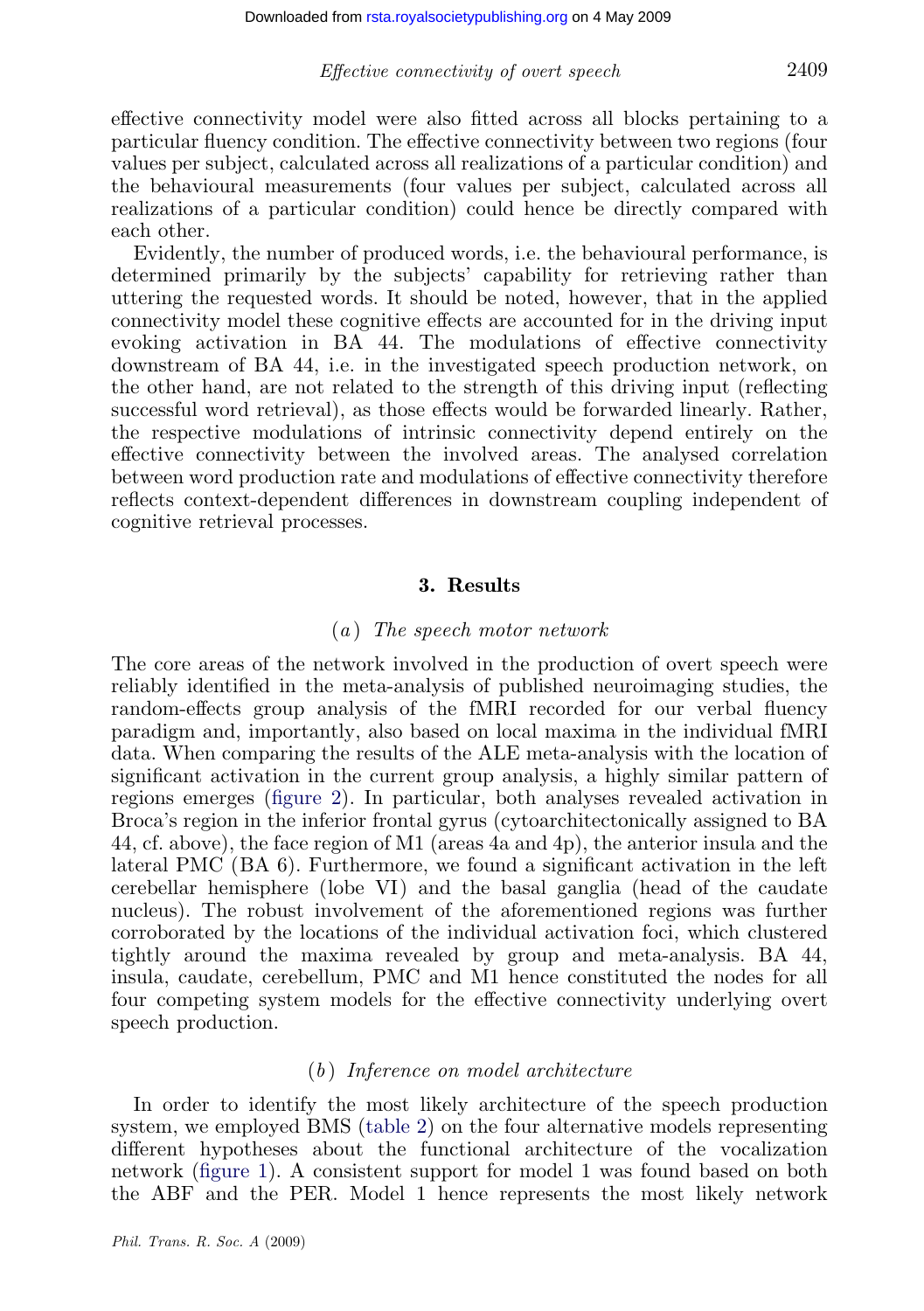### Effective connectivity of overt speech 2409

effective connectivity model were also fitted across all blocks pertaining to a particular fluency condition. The effective connectivity between two regions (four values per subject, calculated across all realizations of a particular condition) and the behavioural measurements (four values per subject, calculated across all realizations of a particular condition) could hence be directly compared with each other.

Evidently, the number of produced words, i.e. the behavioural performance, is determined primarily by the subjects' capability for retrieving rather than uttering the requested words. It should be noted, however, that in the applied connectivity model these cognitive effects are accounted for in the driving input evoking activation in BA 44. The modulations of effective connectivity downstream of BA 44, i.e. in the investigated speech production network, on the other hand, are not related to the strength of this driving input (reflecting successful word retrieval), as those effects would be forwarded linearly. Rather, the respective modulations of intrinsic connectivity depend entirely on the effective connectivity between the involved areas. The analysed correlation between word production rate and modulations of effective connectivity therefore reflects context-dependent differences in downstream coupling independent of cognitive retrieval processes.

## 3. Results

#### $(a)$  $(a)$  The speech motor network

The core areas of the network involved in the production of overt speech were reliably identified in the meta-analysis of published neuroimaging studies, the random-effects group analysis of the fMRI recorded for our verbal fluency paradigm and, importantly, also based on local maxima in the individual fMRI data. When comparing the results of the ALE meta-analysis with the location of significant activation in the current group analysis, a highly similar pattern of regions emerges (figure 2). In particular, both analyses revealed activation in Broca's region in the inferior frontal gyrus (cytoarchitectonically assigned to BA 44, cf. above), the face region of M1 (areas 4a and 4p), the anterior insula and the lateral PMC (BA 6). Furthermore, we found a significant activation in the left cerebellar hemisphere (lobe VI) and the basal ganglia (head of the caudate nucleus). The robust involvement of the aforementioned regions was further corroborated by the locations of the individual activation foci, which clustered tightly around the maxim[a revea](#page-12-0)led by group and meta-analysis. BA 44, insula, caudate, cerebellum, PMC and M1 hence constituted the nodes for all four com[peting sy](#page-4-0)stem models for the effective connectivity underlying overt speech production.

#### $(b)$  Inference on model architecture

In order to identify the most likely architecture of the speech production system, we employed BMS (table 2) on the four alternative models representing different hypotheses about the functional architecture of the vocalization network (figure 1). A consistent support for model 1 was found based on both the ABF and the PER. Model 1 hence represents the most likely network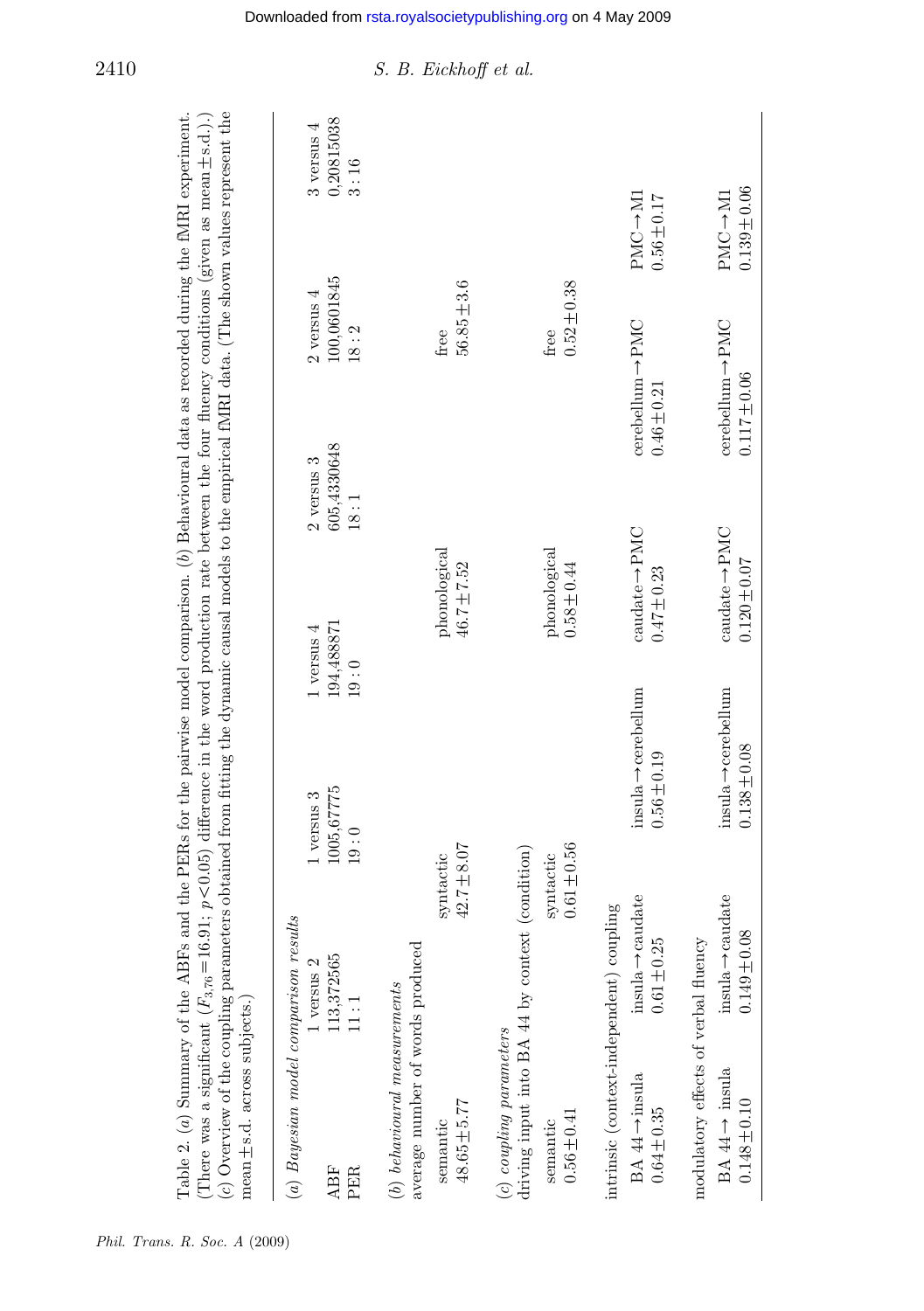| (c) Overview of the coupling parameters obtained from fitting the dynamic causal models to the empirical fMRI data. (The shown values represent the<br>$mean \pm s.d.$ across subjects. |                                                  |                                                     |                                                                       |                                                  |                                          |
|-----------------------------------------------------------------------------------------------------------------------------------------------------------------------------------------|--------------------------------------------------|-----------------------------------------------------|-----------------------------------------------------------------------|--------------------------------------------------|------------------------------------------|
| (a) Bayesian model comparison results                                                                                                                                                   |                                                  |                                                     |                                                                       |                                                  |                                          |
| <b>ABF</b><br>PER                                                                                                                                                                       | 113,372565<br>$1$ versus $2$<br>11:1             | 19:0<br>1005, 67775<br>$1$ versus $3$<br>19:0       | 605,4330648<br>$2$ versus $3$<br>18:1<br>194,488871<br>$1$ versus $4$ | 100,0601845<br>$2$ versus $4$<br>18:2            | 0,20815038<br>$3$ versus $4$<br>3:16     |
| average number of words produced<br>$(b)$ behavioural measurements                                                                                                                      |                                                  |                                                     |                                                                       |                                                  |                                          |
| $48.65 \pm 5.77$<br>semantic                                                                                                                                                            | 42.7±8.07<br>$\it syntactic$                     |                                                     | phonological<br>46.7±7.52                                             | $56.85 \pm 3.6$<br>free                          |                                          |
| (c) coupling parameters                                                                                                                                                                 | driving input into BA 44 by context (condition)  |                                                     |                                                                       |                                                  |                                          |
| $0.56 \pm 0.41$<br>semantic                                                                                                                                                             | $0.61 \pm 0.56$<br>syntactic                     |                                                     | $p$ honological<br>$0.58 \pm 0.44$                                    | $0.52 \pm 0.38$<br>free                          |                                          |
| intrinsic (context-independent) coupling                                                                                                                                                |                                                  |                                                     |                                                                       |                                                  |                                          |
| BA $44 \rightarrow$ insula<br>$0.64 \pm 0.35$                                                                                                                                           | $insula \rightarrow caudate$<br>$0.61 \pm 0.25$  | $insula \rightarrow cerebellum$<br>$0.56 \pm 0.19$  | $caudate \rightarrow PMC$<br>$0.47 \pm 0.23$                          | $cerebellum \rightarrow PMC$<br>$0.46 \pm 0.21$  | $PMC \rightarrow MI$<br>$0.56 \pm 0.17$  |
| modulatory effects of verbal fluency<br>BA $44 \rightarrow$ insula<br>$0.148 \pm 0.10$                                                                                                  | $insula \rightarrow caudate$<br>$0.149 \pm 0.08$ | $insula \rightarrow cerebellum$<br>$0.138 \pm 0.08$ | $caudate \rightarrow PMC$<br>$0.120 \pm 0.07$                         | $cerebellum \rightarrow PMC$<br>$0.117 \pm 0.06$ | $0.139 \pm 0.06$<br>$PMC \rightarrow M1$ |

## <span id="page-12-0"></span>2410  $S. B. Eickhoff et al.$

# Phil. Trans. R. Soc. A (2009)

Table 2. (a) Summary of the ABFs and the PERs for the pairwise model comparison. (b) Behavioural data as recorded during the fMRI experiment.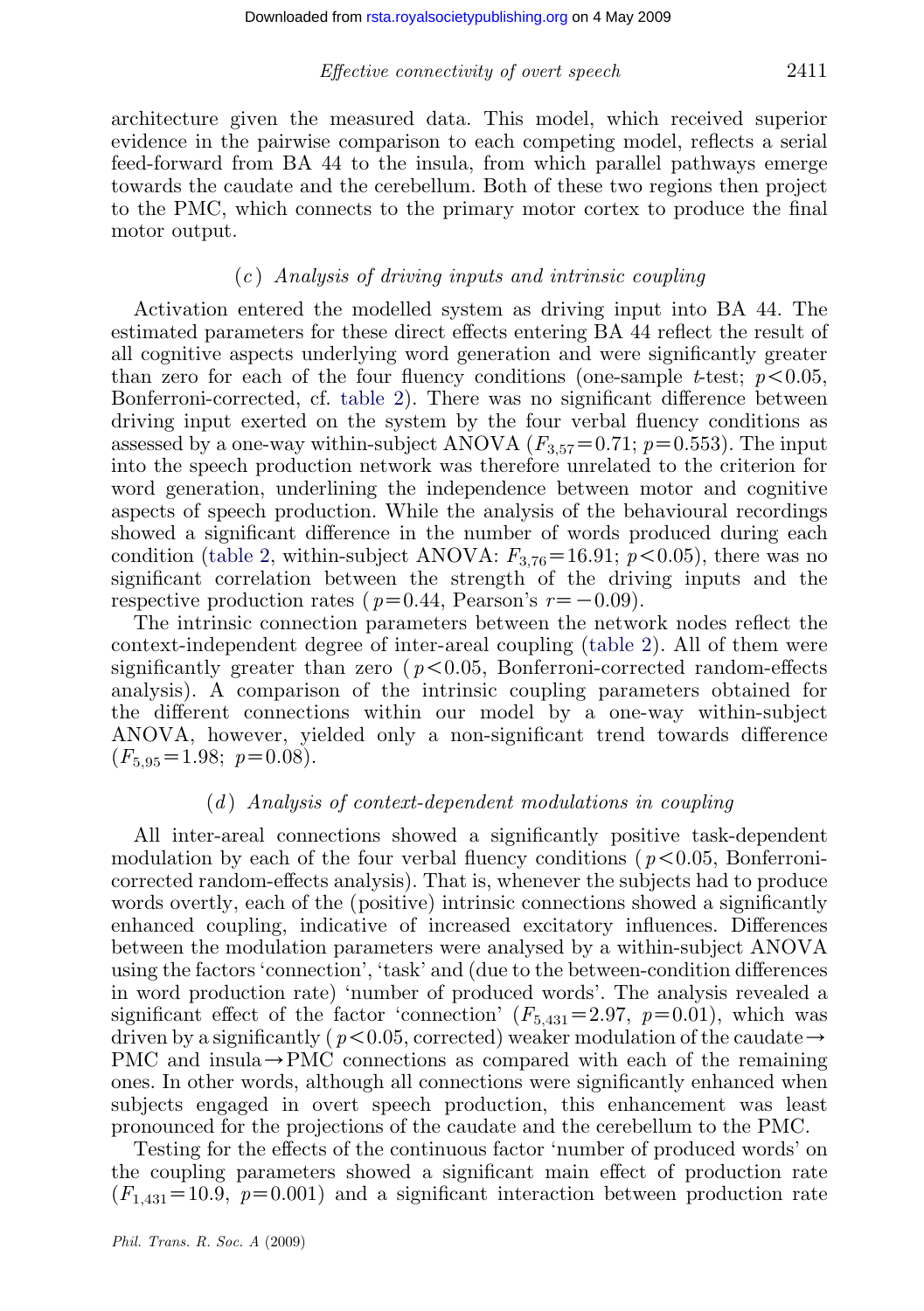#### Effective connectivity of overt speech 2411

architecture given the measured data. This model, which received superior evidence in the pairwise comparison to each competing model, reflects a serial feed-forward from BA 44 to the insula, from which parallel pathways emerge towards the caudate and the cerebellum. Both of these two regions then project to the PMC, which conn[ects to](#page-12-0) the primary motor cortex to produce the final motor output.

#### $(c)$  Analysis of driving inputs and intrinsic coupling

Activation entered the modelled system as driving input into BA 44. The estimated parameters for these direct effects entering BA 44 reflect the result of all cognitive aspects underlying word generation and were significantly greater than zero [for eac](#page-12-0)h of the four fluency conditions (one-sample t-test;  $p < 0.05$ , Bonferroni-corrected, cf. table 2). There was no significant difference between driving input exerted on the system by the four verbal fluency conditions as assessed by a one-way within-subject ANOVA ( $F_{3,57}=0.71$ ;  $p=0.553$ ). The input into the speech production network was therefore u[nrelated](#page-12-0) to the criterion for word generation, underlining the independence between motor and cognitive aspects of speech production. While the analysis of the behavioural recordings showed a significant difference in the number of words produced during each condition (table 2, within-subject ANOVA:  $F_{3,76}$ =16.91; p <0.05), there was no significant correlation between the strength of the driving inputs and the respective production rates ( $p=0.44$ , Pearson's  $r=-0.09$ ).

The intrinsic connection parameters between the network nodes reflect the context-independent degree of inter-areal coupling (table 2). All of them were significantly greater than zero ( $p < 0.05$ , Bonferroni-corrected random-effects analysis). A comparison of the intrinsic coupling parameters obtained for the different connections within our model by a one-way within-subject ANOVA, however, yielded only a non-significant trend towards difference  $(F_{5.95} = 1.98; \ p = 0.08).$ 

### $(d)$  Analysis of context-dependent modulations in coupling

All inter-areal connections showed a significantly positive task-dependent modulation by each of the four verbal fluency conditions ( $p < 0.05$ , Bonferronicorrected random-effects analysis). That is, whenever the subjects had to produce words overtly, each of the (positive) intrinsic connections showed a significantly enhanced coupling, indicative of increased excitatory influences. Differences between the modulation parameters were analysed by a within-subject ANOVA using the factors 'connection', 'task' and (due to the between-condition differences in word production rate) 'number of produced words'. The analysis revealed a significant effect of the factor 'connection'  $(F_{5,431}=2.97, p=0.01)$ , which was driven by a significantly ( $p < 0.05$ , corrected) weaker modulation of the caudate  $\rightarrow$ PMC and insula $\rightarrow$ PMC connections as compared with each of the remaining ones. In other words, although all connections were significantly enhanced when subjects engaged in overt speech production, this enhancement was least pronounced for the projections of the caudate and the cerebellum to the PMC.

Testing for the effects of the continuous factor 'number of produced words' on the coupling parameters showed a significant main effect of production rate  $(F_{1,431}=10.9, p=0.001)$  and a significant interaction between production rate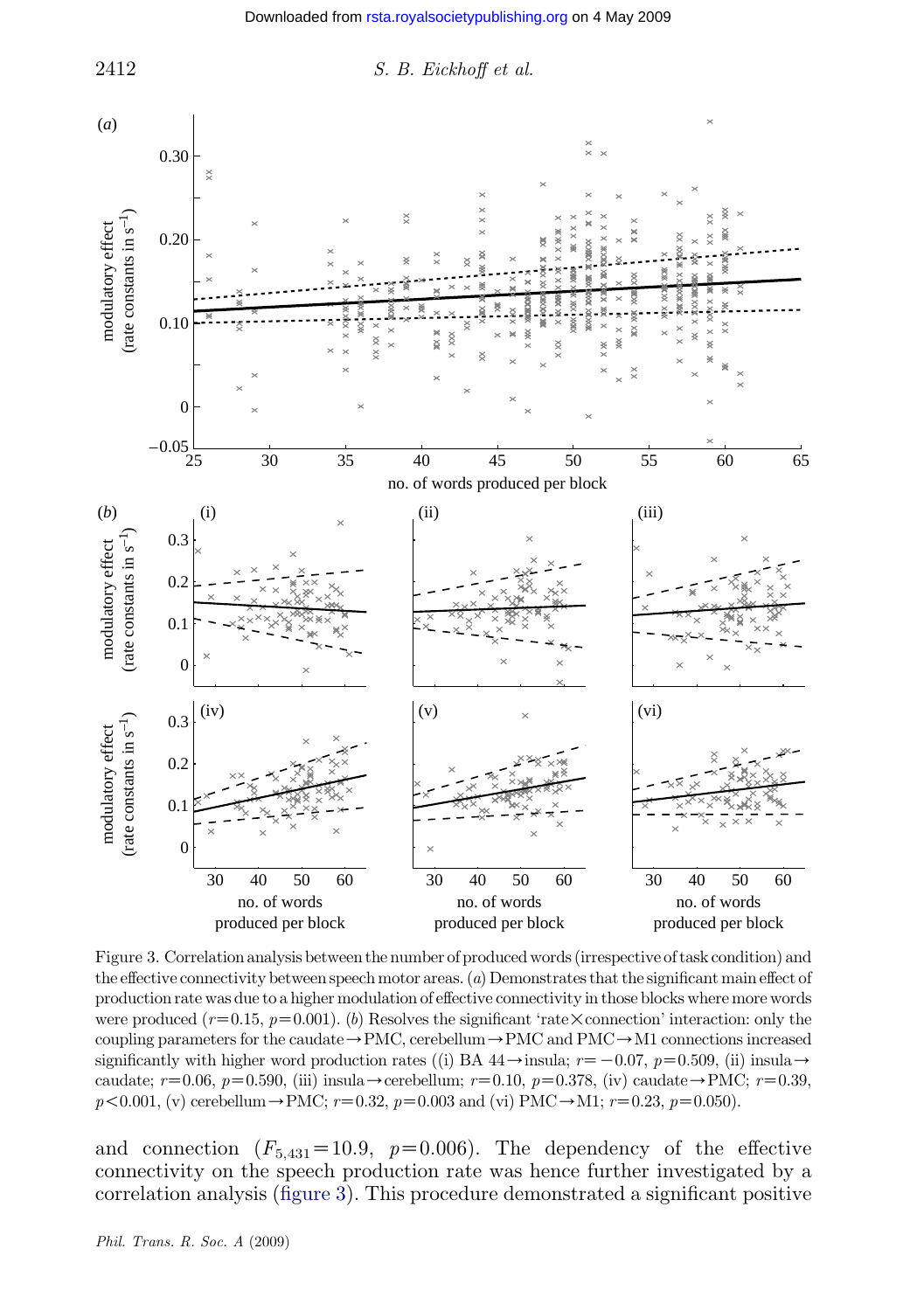

Figure 3. Correlation analysis between the number of produced words (irrespective of task condition) and the effective connectivity between speech motor areas. (a) Demonstrates that the significant main effect of production rate was due to a higher modulation of effective connectivity in those blocks where more words were produced  $(r=0.15, p=0.001)$ . (b) Resolves the significant 'rate  $\times$  connection' interaction: only the coupling parameters for the caudate  $\rightarrow$  PMC, cerebellum  $\rightarrow$  PMC and PMC  $\rightarrow$  M1 connections increased significantly with higher word production rates ((i) BA  $44 \rightarrow$  insula;  $r=-0.07$ ,  $p=0.509$ , (ii) insula $\rightarrow$ caudate;  $r=0.06$ ,  $p=0.590$ , (iii) insula $\rightarrow$ cerebellum;  $r=0.10$ ,  $p=0.378$ , (iv) caudate $\rightarrow$ PMC;  $r=0.39$ ,  $p<0.001$ , (v) cerebellum  $\rightarrow$  PMC;  $r=0.32$ ,  $p=0.003$  and (vi) PMC $\rightarrow$ M1;  $r=0.23$ ,  $p=0.050$ ).

and connection  $(F_{5,431}=10.9, p=0.006)$ . The dependency of the effective connectivity on the speech production rate was hence further investigated by a correlation analysis (figure 3). This procedure demonstrated a significant positive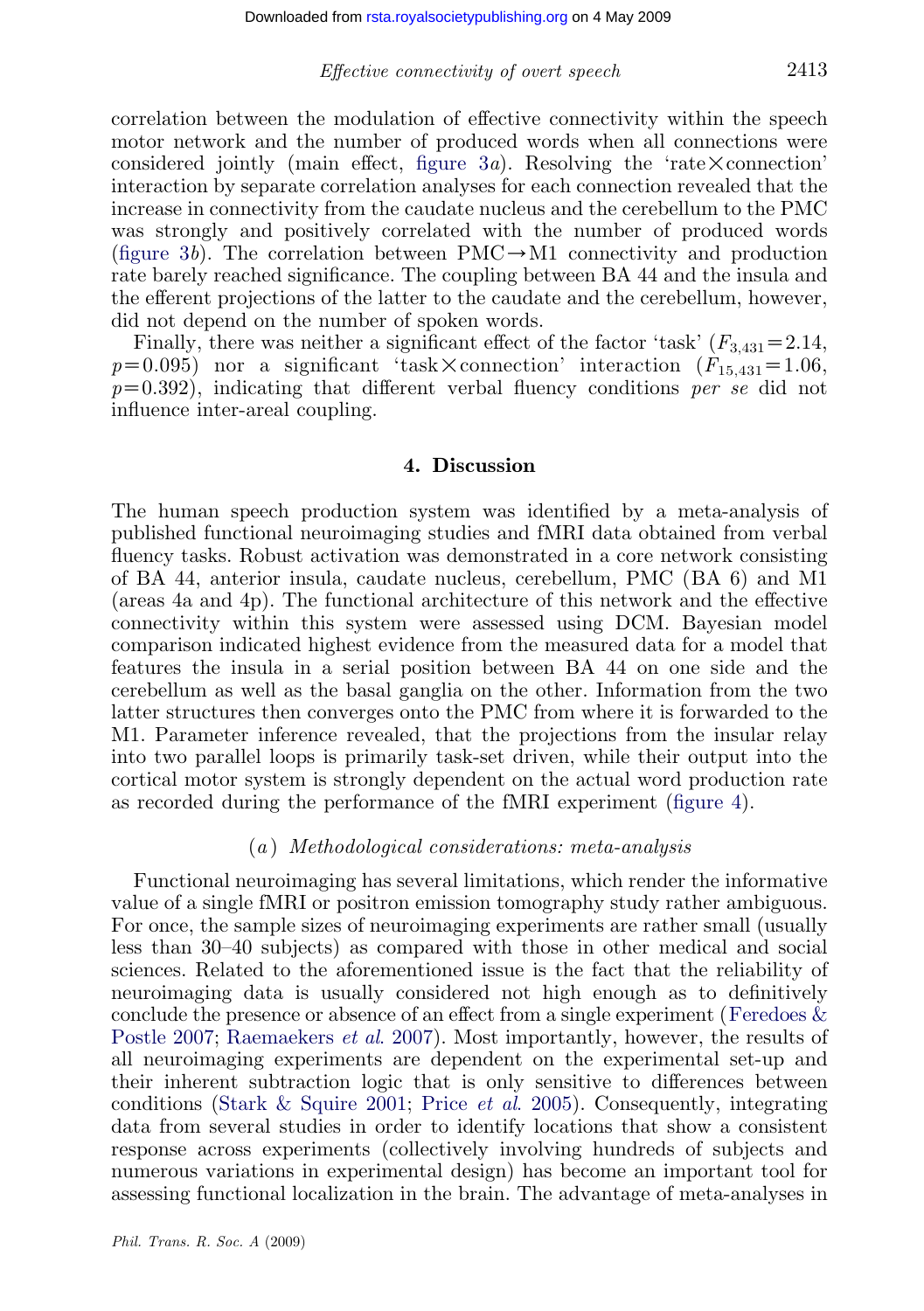Effective connectivity of overt speech 2413

correlation between the modulation of effective connectivity within the speech motor network and the number of produced words when all connections were considered jointly (main effect, figure 3*a*). Resolving the 'rate  $\times$  connection' interaction by separate correlation analyses for each connection revealed that the increase in connectivity from the caudate nucleus and the cerebellum to the PMC was strongly and positively correlated with the number of produced words (figure 3b). The correlation between  $PMC \rightarrow M1$  connectivity and production rate barely reached significance. The coupling between BA 44 and the insula and the efferent projections of the latter to the caudate and the cerebellum, however, did not depend on the number of spoken words.

Finally, there was neither a significant effect of the factor 'task'  $(F_{3,431}=2.14,$  $p=0.095$ ) nor a significant 'task  $\times$  connection' interaction  $(F_{15,431} = 1.06,$  $p=0.392$ ), indicating that different verbal fluency conditions per se did not influence inter-areal coupling.

## 4. Discussion

The human speech production system was identified by a meta-analysis of published functional neuroimaging studies and fMRI data obtained from verbal fluency tasks. Robust activation was demonstrated in a core network consisting of BA 44, anterior insula, caudate nucleus, cerebellum, PMC (BA 6) and M1 (areas 4a and 4p). The functional architecture of this network and the effective connectivity within this system were assessed using DCM. [Bayesia](#page-16-0)n model comparison indicated highest evidence from the measured data for a model that features the insula in a serial position between BA 44 on one side and the cerebellum as well as the basal ganglia on the other. Information from the two latter structures then converges onto the PMC from where it is forwarded to the M1. Parameter inference revealed, that the projections from the insular relay into two parallel loops is primarily task-set driven, while their output into the cortical motor system is strongly dependent on the actual word production rate as recorded during the performance of the fMRI experiment (figure 4).

#### (a ) Methodological considerations: meta-analysis

[Function](#page-20-0)a[l](#page-22-0) [neuroimaging](#page-22-0) [has](#page-22-0) [seve](#page-22-0)ral limitations, which render the informative value of a single fMRI or positron emission tomography study rather ambiguous. For once, t[he sample sizes of neur](#page-23-0)o[imaging experime](#page-22-0)nts are rather small (usually less than 30–40 subjects) as compared with those in other medical and social sciences. Related to the aforementioned issue is the fact that the reliability of neuroimaging data is usually considered not high enough as to definitively conclude the presence or absence of an effect from a single experiment (Feredoes  $\&$ Postle 2007; Raemaekers *et al.* 2007). Most importantly, however, the results of all neuroimaging experiments are dependent on the experimental set-up and their inherent subtraction logic that is only sensitive to differences between conditions (Stark & Squire 2001; Price *et al.* 2005). Consequently, integrating data from several studies in order to identify locations that show a consistent response across experiments (collectively involving hundreds of subjects and numerous variations in experimental design) has become an important tool for assessing functional localization in the brain. The advantage of meta-analyses in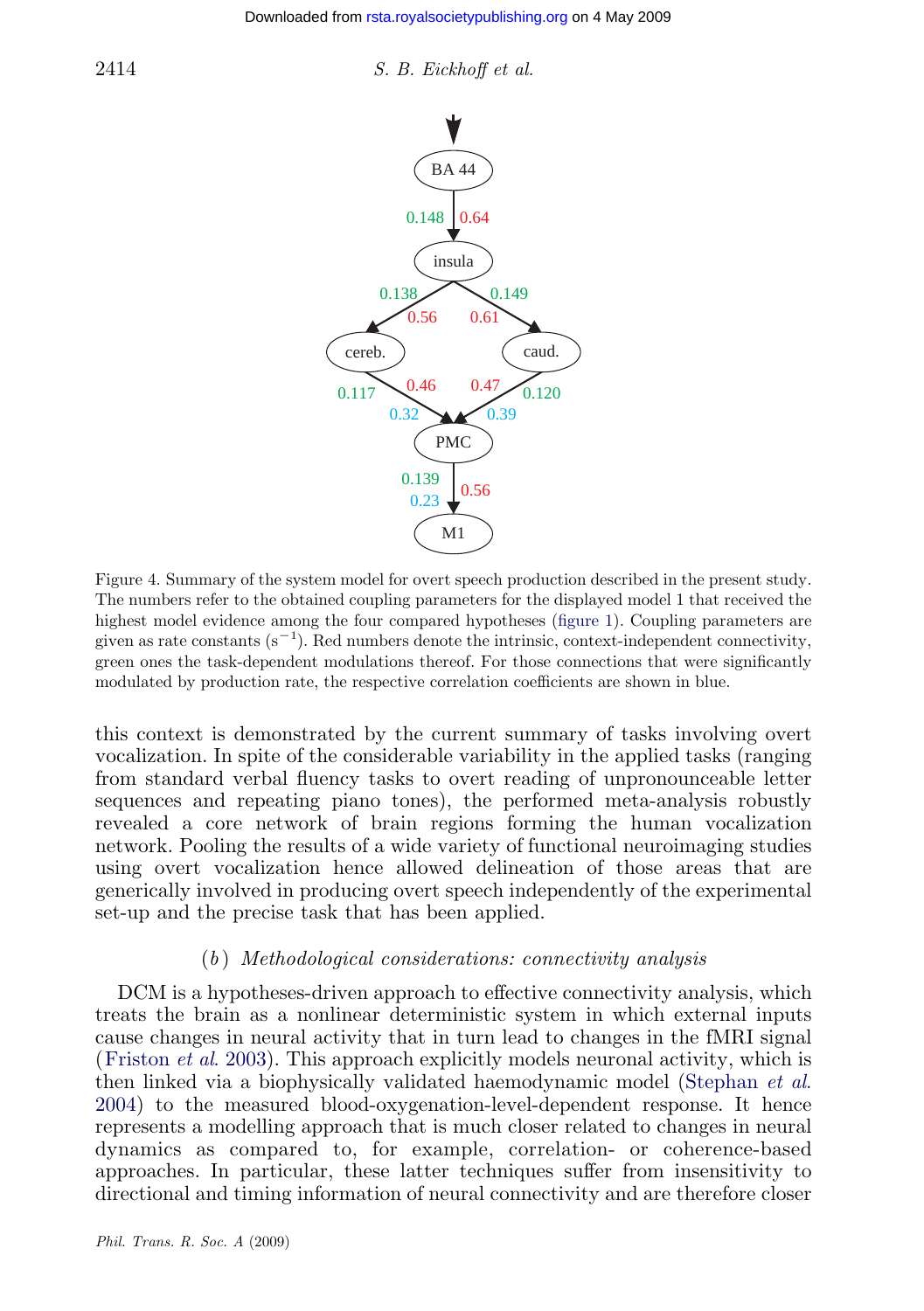<span id="page-16-0"></span>

#### $2414$  S. B. Eickhoff et al.



Figure 4. Summary of the system model for overt speech production described in the present study. The numbers refer to the obtained coupling parameters for the displayed model 1 that received the highest model evidence among the four compared hypotheses (figure 1). Coupling parameters are given as rate constants  $(s^{-1})$ . Red numbers denote the intrinsic, context-independent connectivity, green ones the task-dependent modulations thereof. For those connections that were significantly modulated by production rate, the respective correlation coefficients are shown in blue.

this context is demonstrated by the current summary of tasks involving overt vocalization. In spite of the considerable variability in the applied tasks (ranging from standard verbal fluency tasks to overt reading of unpronounceable letter sequences and repeating piano tones), the performed meta-analysis robustly revealed a core network of brain regions forming the human vocalization network. Pooling the results of a wide variety of functional neuroimaging studies using overt vocalization hence allowed delineation of those areas that are [generically involved](#page-21-0) in producing overt speech independently of th[e](#page-23-0) [experimental](#page-23-0) [set-u](#page-23-0)p and the precise task that has been applied.

## (b ) Methodological considerations: connectivity analysis

DCM is a hypotheses-driven approach to effective connectivity analysis, which treats the brain as a nonlinear deterministic system in which external inputs cause changes in neural activity that in turn lead to changes in the fMRI signal (Friston et al. 2003). This approach explicitly models neuronal activity, which is then linked via a biophysically validated haemodynamic model (Stephan *et al.*) 2004) to the measured blood-oxygenation-level-dependent response. It hence represents a modelling approach that is much closer related to changes in neural dynamics as compared to, for example, correlation- or coherence-based approaches. In particular, these latter techniques suffer from insensitivity to directional and timing information of neural connectivity and are therefore closer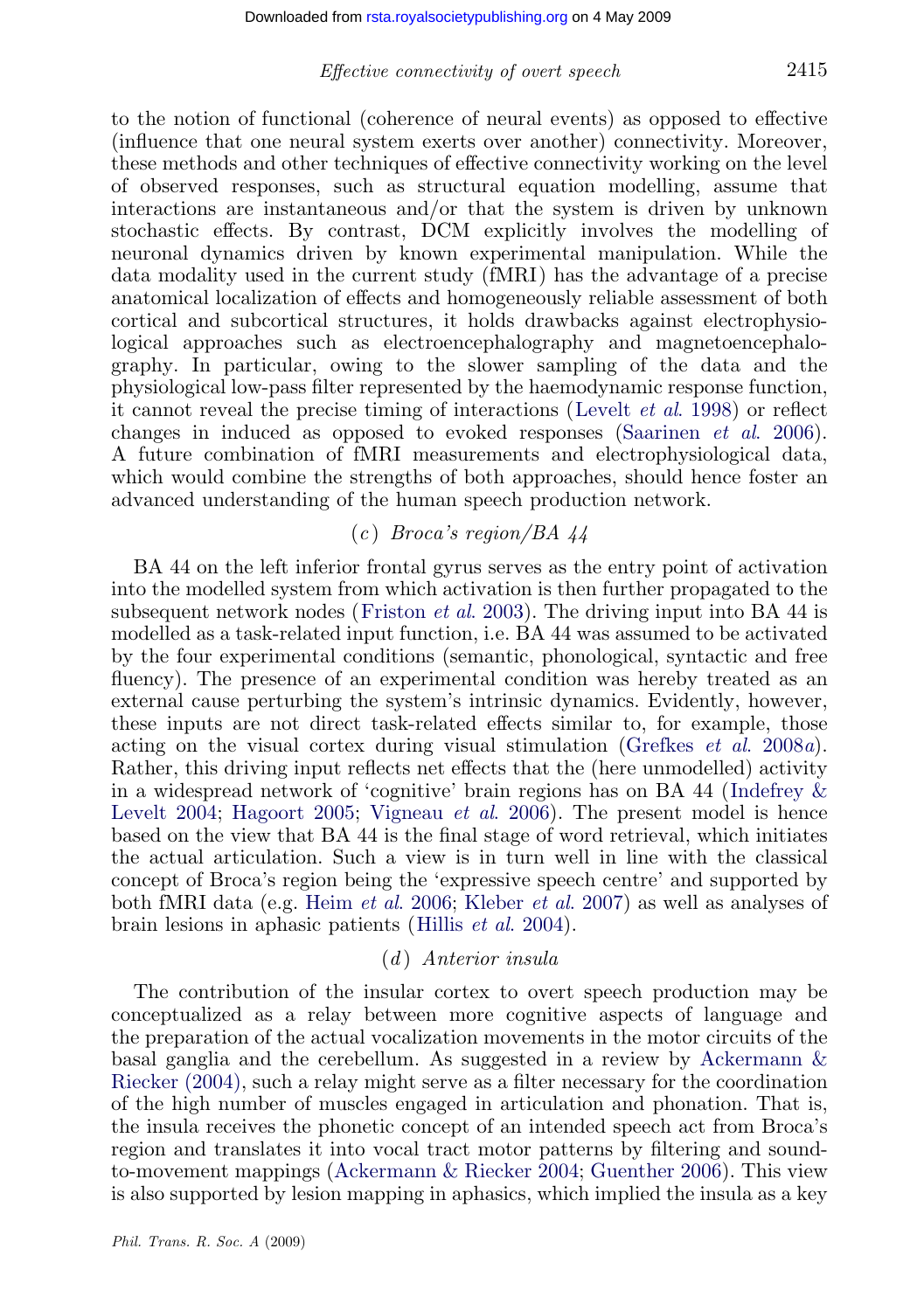### Effective connectivity of overt speech 2415

to the notion of functional (coherence of neural events) as opposed to effective (influence that one neural system exerts over another) connectivity. Moreover, these methods and other techniques of effective connectivity working on the level of observed responses, such as structural equation modelling, assume that interactions are instantaneous and/or that the system is driven by unknown stochastic effects. By contrast, DCM explicitly [involves the mo](#page-22-0)delling of neuronal dynamics driven by known experimental m[anipulation. While th](#page-23-0)e data modality used in the current study (fMRI) has the advantage of a precise anatomical localization of effects and homogeneously reliable assessment of both cortical and subcortical structures, it holds drawbacks against electrophysiological approaches such as electroencephalography and magnetoencephalography. In particular, owing to the slower sampling of the data and the physiological low-pass filter represented by the haemodynamic response function, it cannot reveal the precise timing of interactions (Levelt et al. 1998) or reflect changes in induced as op[posed to evoked r](#page-21-0)esponses (Saarinen et al. 2006). A future combination of fMRI measurements and electrophysiological data, which would combine the strengths of both approaches, should hence foster an advanced understanding of the human speech production network.

## $(c)$  Broca's region/BA 44

BA 44 on the left inferior frontal gyrus serves as the e[ntry point of activatio](#page-21-0)n into the modelled system from which activation is then further propagated to the subsequent network nodes (Friston *et al.* 2003). The driving input in[to BA 44 is](#page-21-0) [modelled as](#page-21-0) a [task-related in](#page-21-0)[put function, i.e. BA](#page-23-0) 44 was assumed to be activated by the four experimental conditions (semantic, phonological, syntactic and free fluency). The presence of an experimental condition was hereby treated as an external cause perturbing the system's intrinsic dynamics. Evidently, however, these inputs are not [direct task-relat](#page-21-0)[ed effects similar t](#page-22-0)o, for example, those acting on the visual cortex duri[ng visual stimula](#page-21-0)tion (Grefkes et al. 2008a). Rather, this driving input reflects net effects that the (here unmodelled) activity in a widespread network of 'cognitive' brain regions has on BA 44 (Indefrey & Levelt 2004; Hagoort 2005; Vigneau *et al.* 2006). The present model is hence based on the view that BA 44 is the final stage of word retrieval, which initiates the actual articulation. Such a view is in turn well in line with the classical concept of Broca's region being the 'expressive speech centre' an[d supported by](#page-20-0) [both fMRI dat](#page-20-0)a (e.g. Heim et al. 2006; Kleber et al. 2007) as well as analyses of brain lesions in aphasic patients (Hillis et al. 2004).

#### $(d)$  Anterior insula

The contribution of t[he insular cortex to overt](#page-20-0) [speech product](#page-21-0)ion may be conceptualized as a relay between more cognitive aspects of language and the preparation of the actual vocalization movements in the motor circuits of the basal ganglia and the cerebellum. As suggested in a review by Ackermann & Riecker (2004), such a relay might serve as a filter necessary for the coordination of the high number of muscles engaged in articulation and phonation. That is, the insula receives the phonetic concept of an intended speech act from Broca's region and translates it into vocal tract motor patterns by filtering and soundto-movement mappings (Ackermann & Riecker 2004; Guenther 2006). This view is also supported by lesion mapping in aphasics, which implied the insula as a key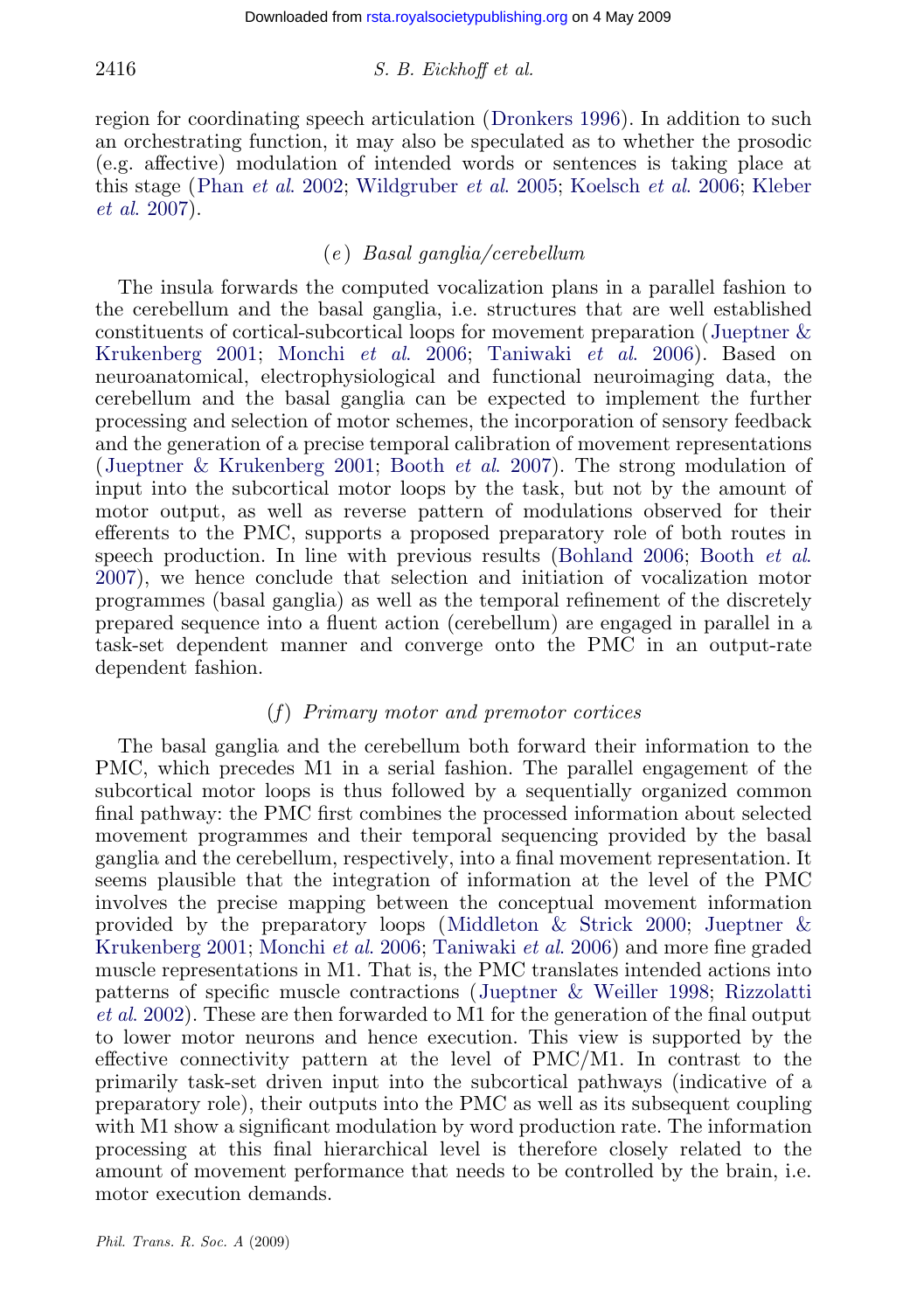## $2416$  S. B. Eickhoff et al.

region for coordinating speech articulation (Dronkers 1996). In addition to such an orchestrating function, it may also be speculated as to whether the prosodic (e.g. affective) modulation of intended words or sentences is taki[ng place at](#page-22-0) [this stage \(Phan](#page-22-0) et al. 2002; [Wildgruber](#page-22-0) et al. 2005; [Koelsch](#page-23-0) et al. 2006; Kleber et al. 2007).

## (e ) Basal ganglia/cerebellum

[The insula forwards the com](#page-22-0)p[uted vocalization](#page-20-0) plans in a parallel fashion to the cerebellum and the basal ganglia, i.e. structures that are well established constituents of cortical-subcortical loops for movement preparation (Jueptner & Krukenberg 2001; Monchi et al. 2006; Taniwaki et al. 2006). Based on neuroanatomical, electrophysiological and functio[nal neuroimag](#page-20-0)i[ng data, the](#page-20-0) [cereb](#page-20-0)ellum and the basal ganglia can be expected to implement the further processing and selection of motor schemes, the incorporation of sensory feedback and the generation of a precise temporal calibration of movement representations (Jueptner & Krukenberg 2001; Booth et al. 2007). The strong modulation of input into the subcortical motor loops by the task, but not by the amount of motor output, as well as reverse pattern of modulations observed for their efferents to the PMC, supports a proposed preparatory role of both routes in speech production. In line with previous results (Bohland 2006; Booth et al. 2007), we hence conclude that selection and initiation of vocalization motor programmes (basal ganglia) as well as the temporal refinement of the discretely prepared sequence into a fluent action (cerebellum) are engaged in parallel in a task-set dependent manner and converge onto the PMC in an output-rate dependent fashion.

## (f) Primary motor and premotor cortices

The basal ganglia and the cerebellu[m both forward their infor](#page-22-0)m[ation to the](#page-22-0) [PMC, which pre](#page-22-0)c[edes M1 in a seria](#page-22-0)[l fashion. The paral](#page-23-0)lel engagement of the subcortical motor loops is thus followed by a sequentially organized common final pathway: the PMC first combines the [processed information abo](#page-22-0)[ut selected](#page-23-0) [movement](#page-23-0) programmes and their temporal sequencing provided by the basal ganglia and the cerebellum, respectively, into a final movement representation. It seems plausible that the integration of information at the level of the PMC involves the precise mapping between the conceptual movement information provided by the preparatory loops (Middleton & Strick 2000; Jueptner & Krukenberg 2001; Monchi *et al.* 2006; Taniwaki *et al.* 2006) and more fine graded muscle representations in M1. That is, the PMC translates intended actions into patterns of specific muscle contractions (Jueptner & Weiller 1998; Rizzolatti et al. 2002). These are then forwarded to M1 for the generation of the final output to lower motor neurons and hence execution. This view is supported by the effective connectivity pattern at the level of PMC/M1. In contrast to the primarily task-set driven input into the subcortical pathways (indicative of a preparatory role), their outputs into the PMC as well as its subsequent coupling with M1 show a significant modulation by word production rate. The information processing at this final hierarchical level is therefore closely related to the amount of movement performance that needs to be controlled by the brain, i.e. motor execution demands.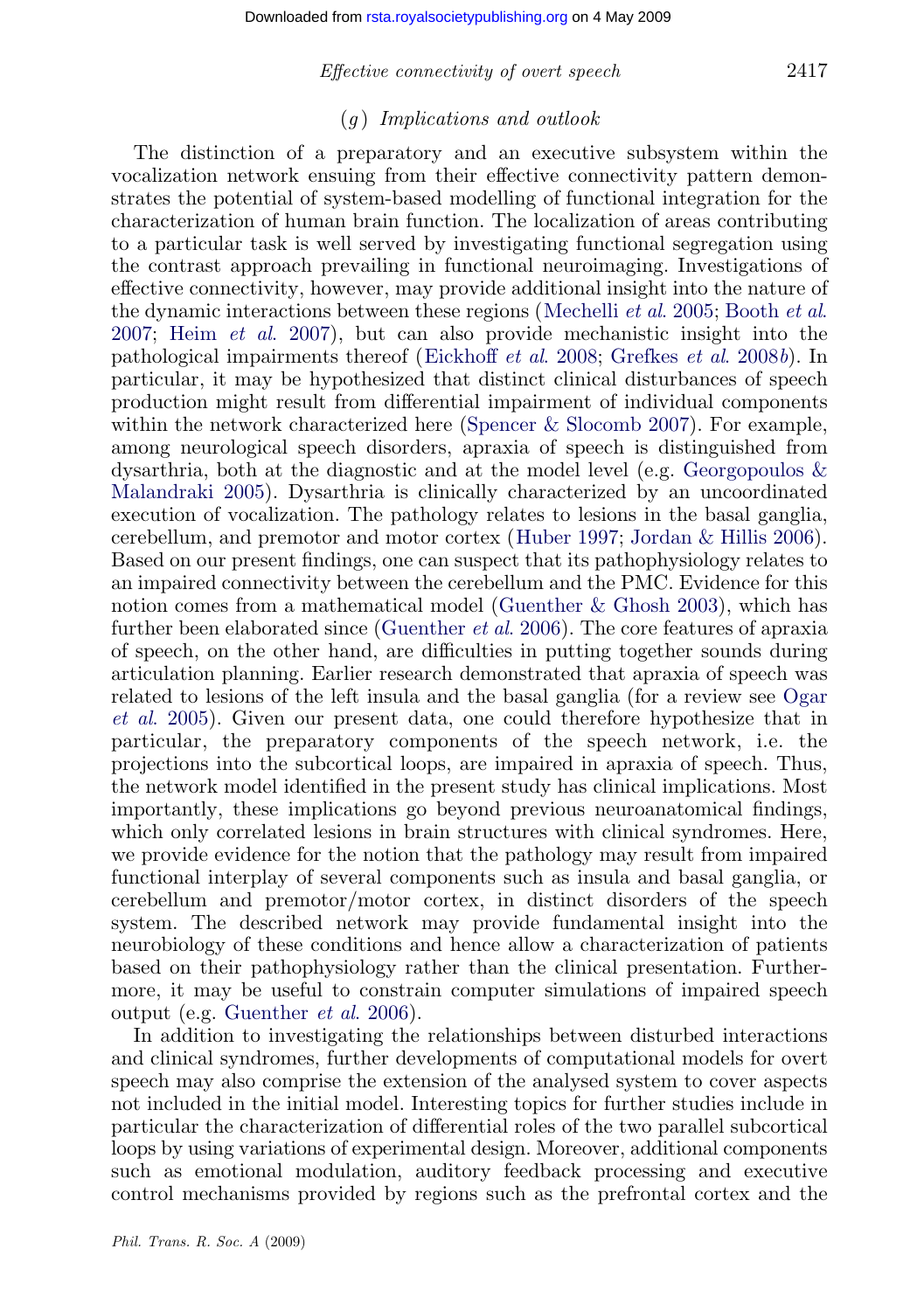#### Effective connectivity of overt speech 2417

## $(a)$  Implications and outlook

Th[e distinction of a](#page-21-0) preparatory and an e[xecutive](#page-22-0) [subsystem](#page-22-0) [within](#page-20-0) [the](#page-20-0) [vocal](#page-20-0)ization network ensuing fro[m their effective con](#page-20-0)n[ectivity pattern dem](#page-21-0)onstrates the potential of system-based modelling of functional integration for the characterization of human brain function. The localization of areas contributing to a particular task is well served by i[nvestigating functional se](#page-23-0)gregation using the contrast approach prevailing in functional neuroimaging. Investigations of effective connectivity, however, may provide additional insight i[nto the nature of](#page-21-0) [the dynamic inter](#page-21-0)actions between these regions (Mechelli *et al.* 2005; Booth *et al.* 2007; Heim et al. 2007), but can also provide mechanistic insight into the pathological impairments thereof (Eickhoff et al[. 2008;](#page-21-0) Grefkes et al. 2008b). In particular, it may be hypothesized that distinct clinical [disturbances](#page-22-0) [of](#page-22-0) [speec](#page-22-0)h production might result from differential impairment of individual components within the network characterized here (Sp[encer & Slocomb 2007\). F](#page-21-0)or example, among neurological speech d[isorders, apraxia of](#page-21-0) speech is distinguished from dysarthria, both at the diagnostic and at the model level (e.g. Georgopoulos & Malandraki 2005). Dysarthria is clinically characterized by an uncoordinated execution of vocalization. The pathology relates to lesions in the basal ga[nglia,](#page-22-0) [cerebellum,](#page-22-0) and premotor and motor cortex (Huber 1997; Jordan & Hillis 2006). Based on our present findings, one can suspect that its pathophysiology relates to an impaired connectivity between the cerebellum and the PMC. Evidence for this notion comes from a mathematical model (Guenther & Ghosh 2003), which has further been elaborated since (Guenther *et al.* 2006). The core features of apraxia of speech, on the other hand, are difficulties in putting together sounds during articulation planning. Earlier research demonstrated that apraxia of speech was related to lesions of the left insula and the basal ganglia (for a review see Ogar et al. 2005). Given our present data, one could therefore hypothesize that in particular, the preparatory components of the speech network, i.e. the projections into the subcortical loops, are impaired in apraxia of speech. Thus, the network model identified in the present study has clinical implications. Most importantly, these implications go beyond previous neuroanatomical findings, which only [correlated lesions in b](#page-21-0)rain structures with clinical syndromes. Here, we provide evidence for the notion that the pathology may result from impaired functional interplay of several components such as insula and basal ganglia, or cerebellum and premotor/motor cortex, in distinct disorders of the speech system. The described network may provide fundamental insight into the neurobiology of these conditions and hence allow a characterization of patients based on their pathophysiology rather than the clinical presentation. Furthermore, it may be useful to constrain computer simulations of impaired speech output (e.g. Guenther et al. 2006).

In addition to investigating the relationships between disturbed interactions and clinical syndromes, further developments of computational models for overt speech may also comprise the extension of the analysed system to cover aspects not included in the initial model. Interesting topics for further studies include in particular the characterization of differential roles of the two parallel subcortical loops by using variations of experimental design. Moreover, additional components such as emotional modulation, auditory feedback processing and executive control mechanisms provided by regions such as the prefrontal cortex and the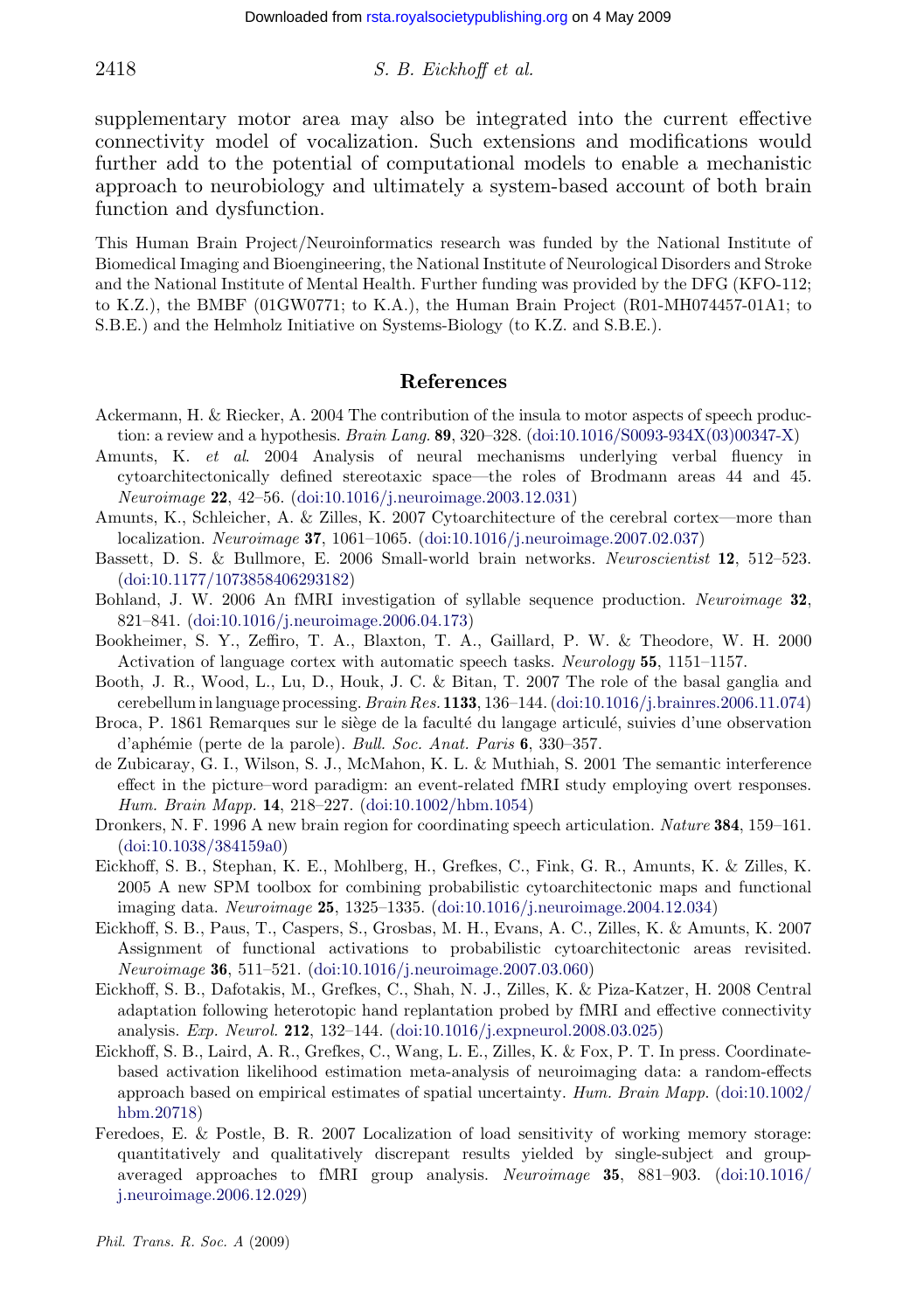## <span id="page-20-0"></span>2418 S. B. Eickhoff et al.

supplementary motor area may also be integrated into the current effective connectivity model of vocalization. Such extensions and modifications would further add to the potential of computational models to enable a mechanistic approach to neurobiology and ultimately a system-based account of both brain function and dysfunction.

This Human Brain Project/Neuroinformatics research was funded by the National Institute of Biomedical Imaging and Bioengineering, the National Institu[te of Neurological Disorders and Stro](http://dx.doi.org/doi:10.1016/S0093-934X(03)00347-X)ke and the National Institute of Mental Health. Further funding was provided by the DFG (KFO-112; to K.Z.), the BMBF (01GW0771; to K.A.), the Human Brain Project (R01-MH074457-01A1; to S.B.E.) and the Helmholz I[nitiative on Systems-Biology \(to K.Z.](http://dx.doi.org/doi:10.1016/j.neuroimage.2003.12.031) and S.B.E.).

#### R[eferences](http://dx.doi.org/doi:10.1016/j.neuroimage.2007.02.037)

- Ac[kermann,](http://dx.doi.org/doi:10.1177/1073858406293182) [H.](http://dx.doi.org/doi:10.1177/1073858406293182) [&](http://dx.doi.org/doi:10.1177/1073858406293182) [Riecker,](http://dx.doi.org/doi:10.1177/1073858406293182) [A.](http://dx.doi.org/doi:10.1177/1073858406293182) [2004](http://dx.doi.org/doi:10.1177/1073858406293182) [T](http://dx.doi.org/doi:10.1177/1073858406293182)he contribution of the insula to motor aspects of speech production: a review and a hypothesis. Brain Lang. 89, 320–328. (doi:10.1016/S0093-934X(03)00347-X)
- Amunts, K. et al[.](http://dx.doi.org/doi:10.1016/j.neuroimage.2006.04.173) [2004](http://dx.doi.org/doi:10.1016/j.neuroimage.2006.04.173) [Analysis](http://dx.doi.org/doi:10.1016/j.neuroimage.2006.04.173) [of](http://dx.doi.org/doi:10.1016/j.neuroimage.2006.04.173) [neural](http://dx.doi.org/doi:10.1016/j.neuroimage.2006.04.173) mechanisms underlying verbal fluency in cytoarchitectonically defined stereotaxic space—the roles of Brodmann areas 44 and 45. Neuroimage 22, 42–56. (doi:10.1016/j.neuroimage.2003.12.031)
- Amunts, K., Schleicher, A. & Zilles, K. 2007 Cytoarchitecture of the cerebral cortex—more than localization. Neuroimage 37, 1061–1065. (doi:10.1016/j.neu[roimage.2007.02.037\)](http://dx.doi.org/doi:10.1016/j.brainres.2006.11.074)
- Bassett, D. S. & Bullmore, E. 2006 Small-world brain networks. Neuroscientist 12, 512–523. (doi:10.1177/1073858406293182)
- Bohland, J. W. 2006 An fMRI investigation of syllable sequence production. Neuroimage 32, 821–841. (doi:10.1016/j.neuroimage.2006.04.173)
- Bookheimer, S. Y., Zeffiro, T. A., [Blaxton,](http://dx.doi.org/doi:10.1002/hbm.1054) [T.](http://dx.doi.org/doi:10.1002/hbm.1054) [A.,](http://dx.doi.org/doi:10.1002/hbm.1054) [Gailla](http://dx.doi.org/doi:10.1002/hbm.1054)rd, P. W. & Theodore, W. H. 2000 Activation of language cortex with automatic speech tasks. Neurology 55, 1151–1157.
- Bo[oth,](http://dx.doi.org/doi:10.1038/384159a0) [J.](http://dx.doi.org/doi:10.1038/384159a0) [R.,](http://dx.doi.org/doi:10.1038/384159a0) [Wood,](http://dx.doi.org/doi:10.1038/384159a0) [L.,](http://dx.doi.org/doi:10.1038/384159a0) Lu, D., Houk, J. C. & Bitan, T. 2007 The role of the basal ganglia and cerebellum in language processing.  $Brain Res. 1133, 136-144.$  (doi:10.1016/j.brainres.2006.11.074)
- Broca, P. 1861 Remarques sur le siège de la faculté du langage articulé, suivies d'une observation d'aphémie (perte de la parole). Bull. Soc. Anat. Paris 6, 330-357.
- de Zubicaray, G. I., Wilson, S. J., McMahon, K. L. & Muthiah, S. 2001 The semantic interference effect in the picture–word paradigm: an event-related fMRI study employing overt responses. Hum. Brain Mapp. 14, 21[8–227.](http://dx.doi.org/doi:10.1016/j.neuroimage.2007.03.060) [\(doi:10.1002/hbm.1054\)](http://dx.doi.org/doi:10.1016/j.neuroimage.2007.03.060)
- Dronkers, N. F. 1996 A new brain region for coordinating speech articulation. Nature 384, 159–161. (doi:10.1038/384159a0)
- Eickhoff, S. B., Stephan, K. E., Mohlber[g,](http://dx.doi.org/doi:10.1016/j.expneurol.2008.03.025) [H.,](http://dx.doi.org/doi:10.1016/j.expneurol.2008.03.025) [Grefkes,](http://dx.doi.org/doi:10.1016/j.expneurol.2008.03.025) [C.,](http://dx.doi.org/doi:10.1016/j.expneurol.2008.03.025) [Fink,](http://dx.doi.org/doi:10.1016/j.expneurol.2008.03.025) [G.](http://dx.doi.org/doi:10.1016/j.expneurol.2008.03.025) [R.,](http://dx.doi.org/doi:10.1016/j.expneurol.2008.03.025) [Am](http://dx.doi.org/doi:10.1016/j.expneurol.2008.03.025)unts, K. & Zilles, K. 2005 A new SPM toolbox for combining probabilistic cytoarchitectonic maps and functional imaging data. Neuroimage 25, 1325–1335. (doi:10.1016/j.neuroimage.2004.12.034)
- Eickhoff, S. B., Paus, T., Caspers, S., Grosbas, M. H., Evans, A. C., Zilles, K. & Am[unts,](http://dx.doi.org/doi:10.1002/hbm.20718) [K.](http://dx.doi.org/doi:10.1002/hbm.20718) [2007](http://dx.doi.org/doi:10.1002/hbm.20718) [Assignment](http://dx.doi.org/doi:10.1002/hbm.20718) of functional activations to probabilistic cytoarchitectonic areas revisited. Neuroimage 36, 511–521. (doi:10.1016/j.neuroimage.2007.03.060)
- Eickhoff, S. B., Dafotakis, M., Grefkes, C., Shah, N. J., Zilles, K. & Piza-Katzer, H. 2008 Central [adaptation following hete](http://dx.doi.org/doi:10.1016/j.neuroimage.2006.12.029)rotopic hand replantation probed by fMRI and effective [connectivity](http://dx.doi.org/doi:10.1016/j.neuroimage.2006.12.029) analysis. Exp. Neurol. 212, 132–144. (doi:10.1016/j.expneurol.2008.03.025)
- Eickhoff, S. B., Laird, A. R., Grefkes, C., Wang, L. E., Zilles, K. & Fox, P. T. In press. Coordinatebased activation likelihood estimation meta-analysis of neuroimaging data: a random-effects approach based on empirical estimates of spatial uncertainty. Hum. Brain Mapp. (doi:10.1002/ hbm.20718)
- Feredoes, E. & Postle, B. R. 2007 Localization of load sensitivity of working memory storage: quantitatively and qualitatively discrepant results yielded by single-subject and groupaveraged approaches to fMRI group analysis. Neuroimage 35, 881–903. (doi:10.1016/ j.neuroimage.2006.12.029)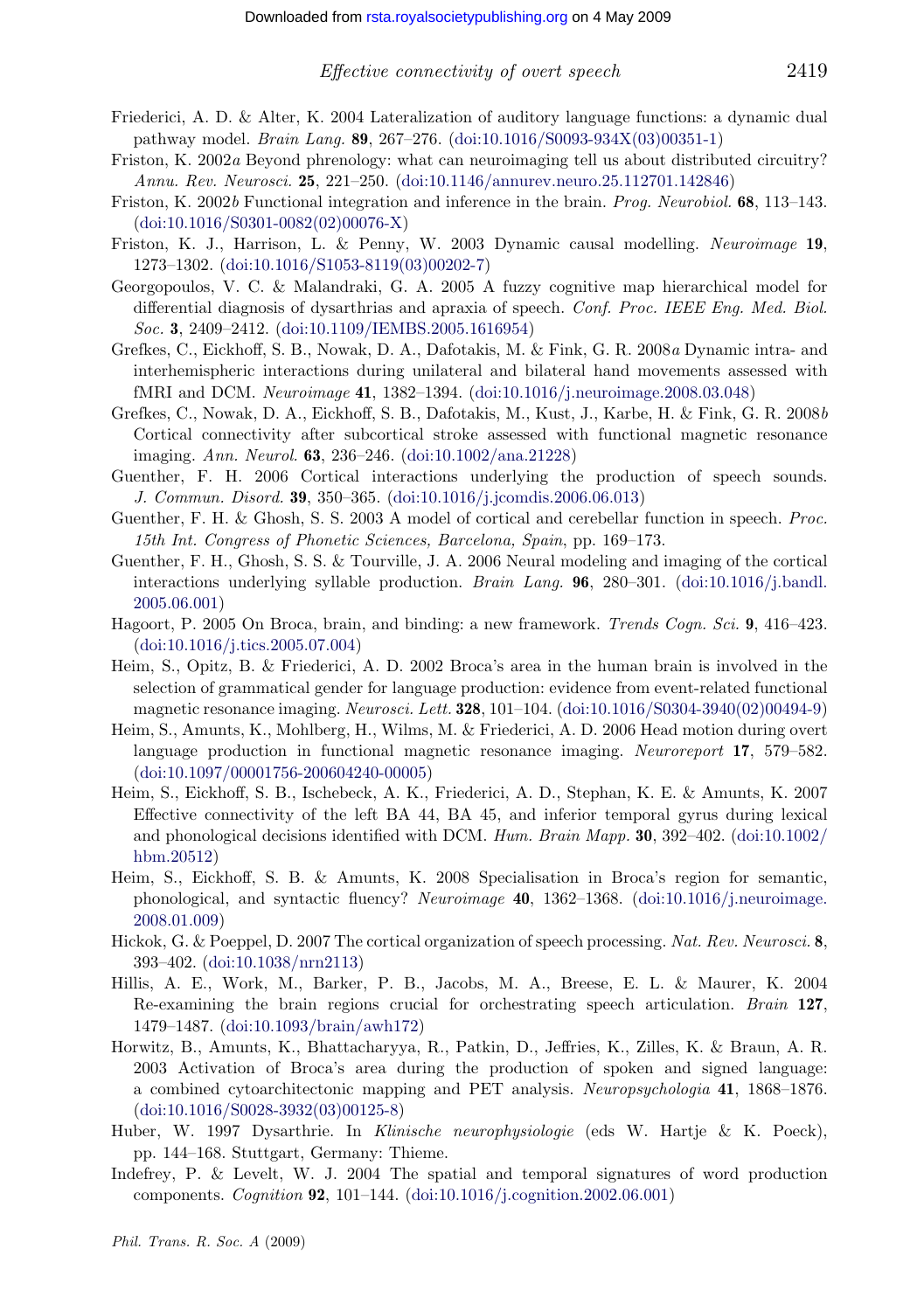- <span id="page-21-0"></span>Friederici, A. D. & Alter, K. 2004 Lateralization of auditory language functions: a dynamic dual pathway model. Brain Lang. 89, 267–276. (doi:10.1016/S0093-934X(03)00351-1)
- Friston, K. 2002a Bey[ond phrenology: what can neuroim](http://dx.doi.org/doi:10.1109/IEMBS.2005.1616954)aging tell us about distributed circuitry? Annu. Rev. Neurosci. 25, 221–250. (doi:10.1146/annurev.neuro.25.112701.142846)
- Friston, K. 2002b Functional integration and inference in the brain. *Prog. Neurobiol.* 68, 113–143. (doi:10.1016/S0301-0082(02)00076-X)
- Friston, K. J., Harrison, L. & Penny, W. 2003 Dynamic causal modelling. Neuroimage 19, 1273–1302. (doi:10.1016/S1053-8119(03)00202-7)
- Georgopoulos, V. C. & Malandraki, G[. A. 2005 A fuzzy cog](http://dx.doi.org/doi:10.1002/ana.21228)nitive map hierarchical model for differential diagnosis of dysarthrias and apraxia of speech. Conf. Proc. IEEE Eng. Med. Biol. Soc. 3, 2409–2412. (doi:10.1109/IE[MBS.2005.1616954\)](http://dx.doi.org/doi:10.1016/j.jcomdis.2006.06.013)
- Grefkes, C., Eickhoff, S. B., Nowak, D. A., Dafotakis, M. & Fink, G. R. 2008a Dynamic intra- and interhemispheric interactions during unilateral and bilateral hand movements assessed with fMRI and DCM. Neuroimage 41, 1382–1394. (doi:10.1016/j.neuroimage.2008.03.048)
- Grefkes, C., Nowak, D. A., Eickhoff, S. B., Dafotakis, M., Kust, J., Karbe, H. [& Fink, G. R. 2008](http://dx.doi.org/doi:10.1016/j.bandl.2005.06.001)b [Cortical con](http://dx.doi.org/doi:10.1016/j.bandl.2005.06.001)nectivity after subcortical stroke assessed with functional magnetic resonance imaging. Ann. Neurol. 63, 236–246. (doi:10.1002/ana.21228)
- Gu[enther, F. H. 2006 Cortical](http://dx.doi.org/doi:10.1016/j.tics.2005.07.004) interactions underlying the production of speech sounds. J. Commun. Disord. 39, 350–365. (doi:10.1016/j.jcomdis.2006.06.013)
- Guenther, F. H. & Ghosh, S. S. 2003 A model of cortical and cerebellar function in speech. Proc. 15th Int. Congress of Phonetic Sciences, Barcelona, Spain[, pp. 169–173.](http://dx.doi.org/doi:10.1016/S0304-3940(02)00494-9)
- Guenther, F. H., Ghosh, S. S. & Tourville, J. A. 2006 Neural modeling and imaging of the cortical interactions underlying syllable production. Brain Lang. 96, 280–301. (doi:10.1016/j.bandl. [2005.06.001\)](http://dx.doi.org/doi:10.1097/00001756-200604240-00005)
- Hagoort, P. 2005 On Broca, brain, and binding: a new framework. Trends Coqn. Sci. 9, 416–423. (doi:10.1016/j.tics.2005.07.004)
- Heim, S., Opitz, B. & Friederici, A. D. 2002 Broca's area in the human brain is in[volved in the](http://dx.doi.org/doi:10.1002/hbm.20512) [selection of](http://dx.doi.org/doi:10.1002/hbm.20512) grammatical gender for language production: evidence from event-related functional magnetic resonance imaging. Neurosci. Lett. **328**, 101-104. (doi:10.1016/S0304-3940(02)00494-9)
- Heim, S., Amunts, K., Mohlberg, H., Wilms, M. & Friederici, A. D. 2006 [Head motion during overt](http://dx.doi.org/doi:10.1016/j.neuroimage.2008.01.009) [language pr](http://dx.doi.org/doi:10.1016/j.neuroimage.2008.01.009)oduction in functional magnetic resonance imaging. Neuroreport 17, 579–582. (doi:10.1097/00001756-200604240-00005)
- Heim, S., Ei[ckhoff, S. B., Ischebec](http://dx.doi.org/doi:10.1038/nrn2113)k, A. K., Friederici, A. D., Stephan, K. E. & Amunts, K. 2007 Effective connectivity of the left BA 44, BA 45, and inferior temporal gyrus during lexical and phonological decisions identified with DCM. Hum. Brain Mapp. 30, 392-402. (doi:10.1002) hbm.20512)
- Heim, S., Eickhoff, S. B. & Amunts, K. 2008 Specialisation in Broca's region for semantic, phonological, and syntactic fluency? Neuroimage 40, 1362–1368. (doi:10.1016/j.neuroimage. 2008.01.009)
- Hic[kok, G. & Poeppel, D. 2007 The corti](http://dx.doi.org/doi:10.1016/S0028-3932(03)00125-8)cal organization of speech processing. Nat. Rev. Neurosci. 8, 393–402. (doi:10.1038/nrn2113)
- Hillis, A. E., Work, M., Barker, P. B., Jacobs, M. A., Breese, E. L. & Maurer, K. 2004 Re-examining the brain regions crucial for orchestrating speech articulation. Brain 127, 1479–1487. (doi:10.1093/brain/awh17[2\)](http://dx.doi.org/doi:10.1016/j.cognition.2002.06.001)
- Horwitz, B., Amunts, K., Bhattacharyya, R., Patkin, D., Jeffries, K., Zilles, K. & Braun, A. R. 2003 Activation of Broca's area during the production of spoken and signed language: a combined cytoarchitectonic mapping and PET analysis. Neuropsychologia 41, 1868–1876. (doi:10.1016/S0028-3932(03)00125-8)
- Huber, W. 1997 Dysarthrie. In Klinische neurophysiologie (eds W. Hartje & K. Poeck), pp. 144–168. Stuttgart, Germany: Thieme.
- Indefrey, P. & Levelt, W. J. 2004 The spatial and temporal signatures of word production components. Cognition 92, 101–144. (doi:10.1016/j.cognition.2002.06.001)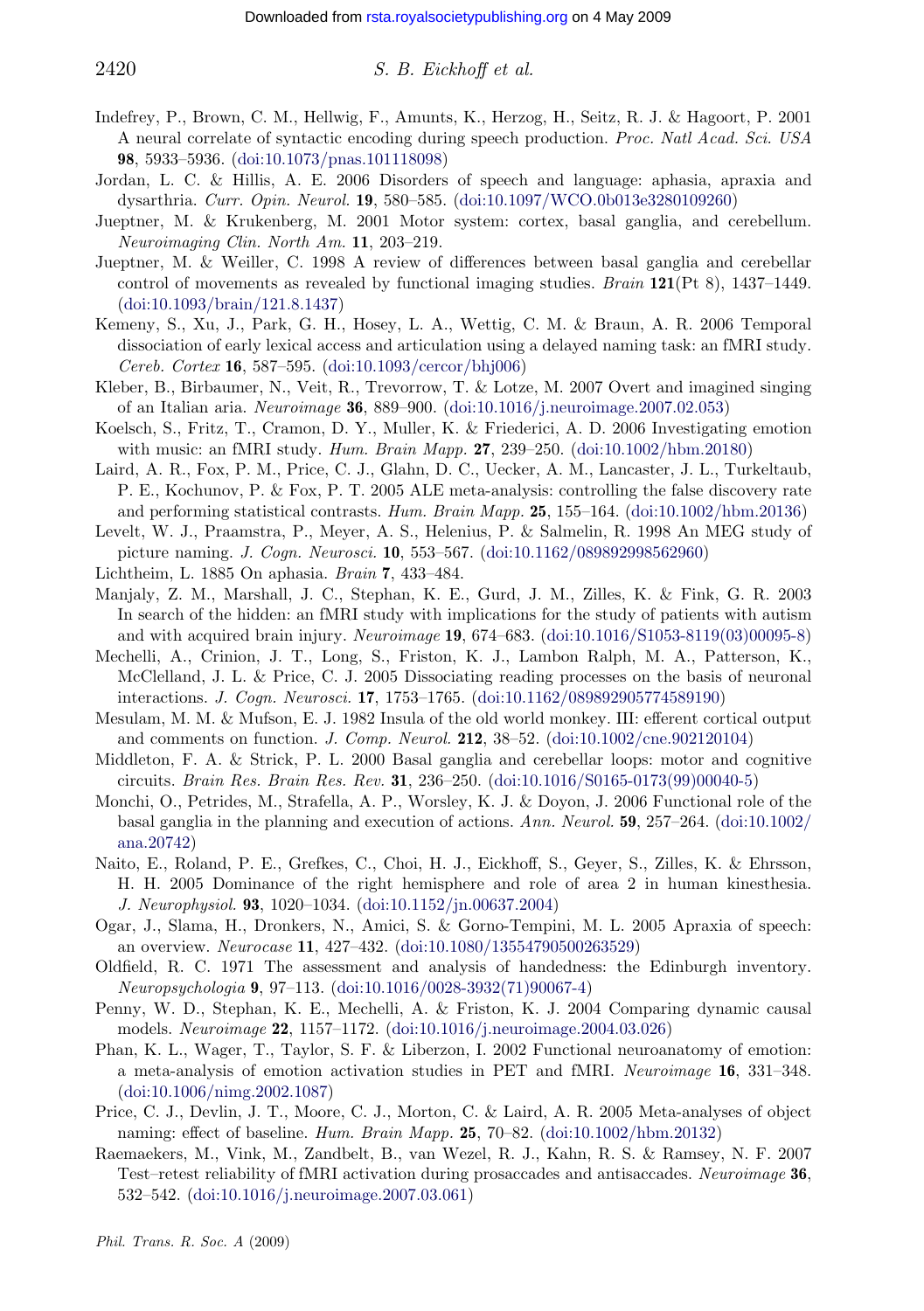## <span id="page-22-0"></span> $2420$  S. B. Eickhoff et al.

- Indefrey, P., Brown, C. M., Hellwig, F., Amunts, K., Herzog, H., Seitz, R. J. & Hagoort, P. 2001 [A](http://dx.doi.org/doi:10.1093/brain/121.8.1437) [neural](http://dx.doi.org/doi:10.1093/brain/121.8.1437) [correlate](http://dx.doi.org/doi:10.1093/brain/121.8.1437) [of](http://dx.doi.org/doi:10.1093/brain/121.8.1437) [syntactic](http://dx.doi.org/doi:10.1093/brain/121.8.1437) encoding during speech production. Proc. Natl Acad. Sci. USA 98, 5933–5936. (doi:10.1073/pnas.101118098)
- Jordan, L. C. & Hillis, A. E. 2006 Disorders of speech and language: aphasia, apraxia and dysarthria. Curr. Opin. Neurol. 19[,](http://dx.doi.org/doi:10.1093/cercor/bhj006) [580–585.](http://dx.doi.org/doi:10.1093/cercor/bhj006) [\(doi:10.10](http://dx.doi.org/doi:10.1093/cercor/bhj006)97/WCO.0b013e3280109260)
- Jueptner, M. & Krukenberg, M. 2001 Motor [system: cortex, basal ganglia, and](http://dx.doi.org/doi:10.1016/j.neuroimage.2007.02.053) cerebellum. Neuroimaging Clin. North Am. 11, 203–219.
- Jueptner, M. & Weiller, C. 1998 A review of differences between basal ganglia and cerebellar control of movements as revealed by functional imaging studies. Brain 121[\(Pt](http://dx.doi.org/doi:10.1002/hbm.20180) [8\),](http://dx.doi.org/doi:10.1002/hbm.20180) [14](http://dx.doi.org/doi:10.1002/hbm.20180)37–1449. (doi:10.1093/brain/121.8.1437)
- Kemeny, S., Xu, J., Park, G. H., Hosey, L. A., Wettig, C. M. & Braun, A. R. 2006 Temporal dissociation of early lexical access and articulation using a delayed na[ming](http://dx.doi.org/doi:10.1002/hbm.20136) [task:](http://dx.doi.org/doi:10.1002/hbm.20136) [an](http://dx.doi.org/doi:10.1002/hbm.20136) [fMRI](http://dx.doi.org/doi:10.1002/hbm.20136) [study](http://dx.doi.org/doi:10.1002/hbm.20136). Cereb. Cortex 16, 587–595. (doi:10.1093/cercor/bhj006)
- Kleber, B., Birbaumer, N., Veit, R., Trevorrow, T. [&](http://dx.doi.org/doi:10.1162/089892998562960) [Lotze,](http://dx.doi.org/doi:10.1162/089892998562960) [M.](http://dx.doi.org/doi:10.1162/089892998562960) [2007](http://dx.doi.org/doi:10.1162/089892998562960) [Overt](http://dx.doi.org/doi:10.1162/089892998562960) [and](http://dx.doi.org/doi:10.1162/089892998562960) [im](http://dx.doi.org/doi:10.1162/089892998562960)agined singing of an Italian aria. Neuroimage 36, 889–900. (doi:10.1016/j.neuroimage.2007.02.053)
- Koelsch, S., Fritz, T., Cramon, D. Y., Muller, K. & Friederici, A. D. 2006 Investigating emotion with music: an fMRI study. Hum. Brain Mapp. 27, 239–250. (doi:10.1002/hbm.20180)
- Laird, A. R., Fox, P. M., Price, C. J., Glahn, D. C., Uecker, [A.](http://dx.doi.org/doi:10.1016/S1053-8119(03)00095-8) [M.,](http://dx.doi.org/doi:10.1016/S1053-8119(03)00095-8) [Lancaster,](http://dx.doi.org/doi:10.1016/S1053-8119(03)00095-8) [J.](http://dx.doi.org/doi:10.1016/S1053-8119(03)00095-8) [L.,](http://dx.doi.org/doi:10.1016/S1053-8119(03)00095-8) [Turkeltaub](http://dx.doi.org/doi:10.1016/S1053-8119(03)00095-8), P. E., Kochunov, P. & Fox, P. T. 2005 ALE meta-analysis: controlling the false discovery rate and performing statistical contrasts. Hum. Brain Mapp. 25, 155–164. (doi:10.1002/hbm.20136)
- Levelt, W. J., Praamstra, P., Meyer, A. S., Heleni[us,](http://dx.doi.org/doi:10.1162/089892905774589190) [P.](http://dx.doi.org/doi:10.1162/089892905774589190) [&](http://dx.doi.org/doi:10.1162/089892905774589190) [Salmelin,](http://dx.doi.org/doi:10.1162/089892905774589190) [R.](http://dx.doi.org/doi:10.1162/089892905774589190) [1998](http://dx.doi.org/doi:10.1162/089892905774589190) [An](http://dx.doi.org/doi:10.1162/089892905774589190) [M](http://dx.doi.org/doi:10.1162/089892905774589190)EG study of picture naming. J. Cogn. Neurosci. 10, 553–567. (doi:10.11[62/089892998562960\)](http://dx.doi.org/doi:10.1002/cne.902120104)
- Lichtheim, L. 1885 On aphasia. Brain 7, 433–484.
- Manjaly, Z. M., Marshall, J. C., Stephan, K. E., Gurd, J. M., Zilles, K. & Fink, G. R. 2003 In search of the hidden: an fMRI study with implic[ations](http://dx.doi.org/doi:10.1016/S0165-0173(99)00040-5) [for](http://dx.doi.org/doi:10.1016/S0165-0173(99)00040-5) [the](http://dx.doi.org/doi:10.1016/S0165-0173(99)00040-5) [study](http://dx.doi.org/doi:10.1016/S0165-0173(99)00040-5) [of](http://dx.doi.org/doi:10.1016/S0165-0173(99)00040-5) [patients](http://dx.doi.org/doi:10.1016/S0165-0173(99)00040-5) [with](http://dx.doi.org/doi:10.1016/S0165-0173(99)00040-5) autism and with acquired brain injury. Neuroimage 19, 674–683. (doi:10.1016/S1053-8119(03)00095-8)
- Mechelli, A., Crinion, J. T., Long, S., Friston, K. J., Lambon Ralph, M. A., P[atterson,](http://dx.doi.org/doi:10.1002/ana.20742) [K.,](http://dx.doi.org/doi:10.1002/ana.20742) [McClellan](http://dx.doi.org/doi:10.1002/ana.20742)d, J. L. & Price, C. J. 2005 Dissociating reading processes on the basis of neuronal interactions. J. Cogn. Neurosci. 17, 1753–1765. (doi:10.1162/089892905774589190)
- Mesulam, M. M. & Mufson, E. J. 1982 Insula of the old world monkey. III: efferent cortical output and comments on function. J. C[omp.](http://dx.doi.org/doi:10.1152/jn.00637.2004) [Neurol.](http://dx.doi.org/doi:10.1152/jn.00637.2004) 212, 38–52. (doi:10.1002/cne.902120104)
- Middleton, F. A. & Strick, P. L. 2000 Basal ganglia and cerebellar loops: motor and cognitive circuits. Brain Res. Brain Res. Rev. 31[,](http://dx.doi.org/doi:10.1080/13554790500263529) [236–250.](http://dx.doi.org/doi:10.1080/13554790500263529) [\(doi:10.1016/S0165-0](http://dx.doi.org/doi:10.1080/13554790500263529)173(99)00040-5)
- Monchi, O., Petrides, M., Strafella, A. P., Worsley, K. J. & Doyon, J. 2006 Functional role of the basal ganglia in the planning [and](http://dx.doi.org/doi:10.1016/0028-3932(71)90067-4) [execution](http://dx.doi.org/doi:10.1016/0028-3932(71)90067-4) [of](http://dx.doi.org/doi:10.1016/0028-3932(71)90067-4) [actions.](http://dx.doi.org/doi:10.1016/0028-3932(71)90067-4) Ann. Neurol. **59**,  $257-264$ . (doi:10.1002/ ana.20742)
- Naito, E., Roland, P. E., Grefkes, C., [Choi,](http://dx.doi.org/doi:10.1016/j.neuroimage.2004.03.026) [H.](http://dx.doi.org/doi:10.1016/j.neuroimage.2004.03.026) [J.,](http://dx.doi.org/doi:10.1016/j.neuroimage.2004.03.026) [Eickhoff,](http://dx.doi.org/doi:10.1016/j.neuroimage.2004.03.026) [S.,](http://dx.doi.org/doi:10.1016/j.neuroimage.2004.03.026) [Geyer,](http://dx.doi.org/doi:10.1016/j.neuroimage.2004.03.026) [S.,](http://dx.doi.org/doi:10.1016/j.neuroimage.2004.03.026) [Zi](http://dx.doi.org/doi:10.1016/j.neuroimage.2004.03.026)lles, K. & Ehrsson, H. H. 2005 Dominance of the right hemisphere and role of area 2 in human kinesthesia. J. Neurophysiol. 93, 1020–1034. (doi:10.1152/jn.00637.2004)
- Og[ar,](http://dx.doi.org/doi:10.1006/nimg.2002.1087) [J.,](http://dx.doi.org/doi:10.1006/nimg.2002.1087) [Slama,](http://dx.doi.org/doi:10.1006/nimg.2002.1087) [H.,](http://dx.doi.org/doi:10.1006/nimg.2002.1087) [Dronkers,](http://dx.doi.org/doi:10.1006/nimg.2002.1087) N., Amici, S. & Gorno-Tempini, M. L. 2005 Apraxia of speech: an overview. Neurocase 11, 427–432. (doi:10.1080/13554790500263529)
- Oldfield, R. C. 1971 The assessment and analysis of han[dedness:](http://dx.doi.org/doi:10.1002/hbm.20132) [the](http://dx.doi.org/doi:10.1002/hbm.20132) [Edinburg](http://dx.doi.org/doi:10.1002/hbm.20132)h inventory. Neuropsychologia 9, 97–113. (doi:10.1016/0028-3932(71)90067-4)
- Penny, W. D., Stephan, K. E., Mechelli, A. & Friston, K. J. 2004 Comparing dynamic causal models. Neuroimage 22[,](http://dx.doi.org/doi:10.1016/j.neuroimage.2007.03.061) [1157–1172.](http://dx.doi.org/doi:10.1016/j.neuroimage.2007.03.061) [\(doi:10.1016](http://dx.doi.org/doi:10.1016/j.neuroimage.2007.03.061)/j.neuroimage.2004.03.026)
- Phan, K. L., Wager, T., Taylor, S. F. & Liberzon, I. 2002 Functional neuroanatomy of emotion: a meta-analysis of emotion activation studies in PET and fMRI. Neuroimage 16, 331–348. (doi:10.1006/nimg.2002.1087)
- Price, C. J., Devlin, J. T., Moore, C. J., Morton, C. & Laird, A. R. 2005 Meta-analyses of object naming: effect of baseline. Hum. Brain Mapp. 25, 70–82. (doi:10.1002/hbm.20132)
- Raemaekers, M., Vink, M., Zandbelt, B., van Wezel, R. J., Kahn, R. S. & Ramsey, N. F. 2007 Test–retest reliability of fMRI activation during prosaccades and antisaccades. Neuroimage 36, 532–542. (doi:10.1016/j.neuroimage.2007.03.061)